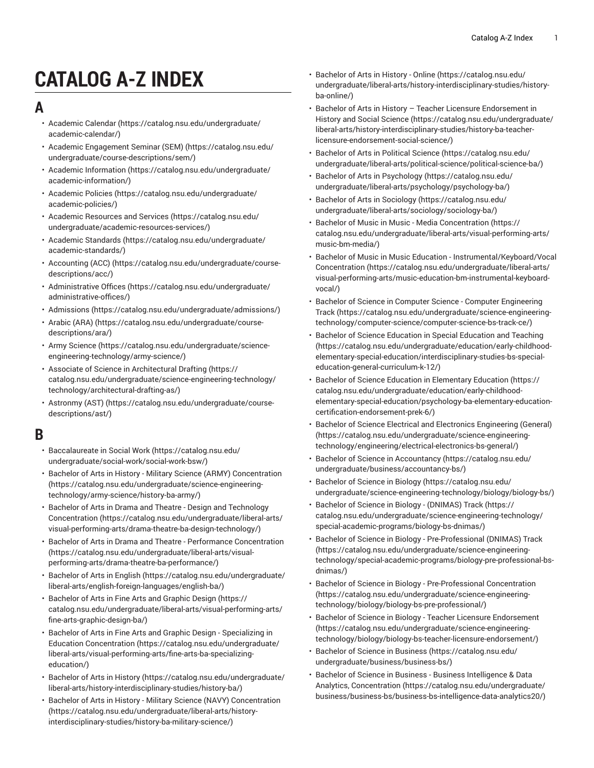# **CATALOG A-Z INDEX**

## **A**

- [Academic Calendar \(https://catalog.nsu.edu/undergraduate/](https://catalog.nsu.edu/undergraduate/academic-calendar/) [academic-calendar/\)](https://catalog.nsu.edu/undergraduate/academic-calendar/)
- [Academic Engagement Seminar \(SEM\)](https://catalog.nsu.edu/undergraduate/course-descriptions/sem/) ([https://catalog.nsu.edu/](https://catalog.nsu.edu/undergraduate/course-descriptions/sem/) [undergraduate/course-descriptions/sem/](https://catalog.nsu.edu/undergraduate/course-descriptions/sem/))
- [Academic Information](https://catalog.nsu.edu/undergraduate/academic-information/) ([https://catalog.nsu.edu/undergraduate/](https://catalog.nsu.edu/undergraduate/academic-information/) [academic-information/](https://catalog.nsu.edu/undergraduate/academic-information/))
- [Academic](https://catalog.nsu.edu/undergraduate/academic-policies/) Policies ([https://catalog.nsu.edu/undergraduate/](https://catalog.nsu.edu/undergraduate/academic-policies/) [academic-policies/](https://catalog.nsu.edu/undergraduate/academic-policies/))
- Academic [Resources](https://catalog.nsu.edu/undergraduate/academic-resources-services/) and Services ([https://catalog.nsu.edu/](https://catalog.nsu.edu/undergraduate/academic-resources-services/) [undergraduate/academic-resources-services/](https://catalog.nsu.edu/undergraduate/academic-resources-services/))
- Academic [Standards \(https://catalog.nsu.edu/undergraduate/](https://catalog.nsu.edu/undergraduate/academic-standards/) [academic-standards/\)](https://catalog.nsu.edu/undergraduate/academic-standards/)
- [Accounting](https://catalog.nsu.edu/undergraduate/course-descriptions/acc/) (ACC) [\(https://catalog.nsu.edu/undergraduate/course](https://catalog.nsu.edu/undergraduate/course-descriptions/acc/)[descriptions/acc/](https://catalog.nsu.edu/undergraduate/course-descriptions/acc/))
- [Administrative](https://catalog.nsu.edu/undergraduate/administrative-offices/) Offices [\(https://catalog.nsu.edu/undergraduate/](https://catalog.nsu.edu/undergraduate/administrative-offices/) [administrative-offices/](https://catalog.nsu.edu/undergraduate/administrative-offices/))
- [Admissions](https://catalog.nsu.edu/undergraduate/admissions/) (<https://catalog.nsu.edu/undergraduate/admissions/>)
- [Arabic \(ARA\)](https://catalog.nsu.edu/undergraduate/course-descriptions/ara/) ([https://catalog.nsu.edu/undergraduate/course](https://catalog.nsu.edu/undergraduate/course-descriptions/ara/)[descriptions/ara/\)](https://catalog.nsu.edu/undergraduate/course-descriptions/ara/)
- [Army Science](https://catalog.nsu.edu/undergraduate/science-engineering-technology/army-science/) ([https://catalog.nsu.edu/undergraduate/science](https://catalog.nsu.edu/undergraduate/science-engineering-technology/army-science/)[engineering-technology/army-science/\)](https://catalog.nsu.edu/undergraduate/science-engineering-technology/army-science/)
- Associate of Science in [Architectural](https://catalog.nsu.edu/undergraduate/science-engineering-technology/technology/architectural-drafting-as/) Drafting ([https://](https://catalog.nsu.edu/undergraduate/science-engineering-technology/technology/architectural-drafting-as/) [catalog.nsu.edu/undergraduate/science-engineering-technology/](https://catalog.nsu.edu/undergraduate/science-engineering-technology/technology/architectural-drafting-as/) [technology/architectural-drafting-as/](https://catalog.nsu.edu/undergraduate/science-engineering-technology/technology/architectural-drafting-as/))
- [Astronmy](https://catalog.nsu.edu/undergraduate/course-descriptions/ast/) (AST) ([https://catalog.nsu.edu/undergraduate/course](https://catalog.nsu.edu/undergraduate/course-descriptions/ast/)[descriptions/ast/](https://catalog.nsu.edu/undergraduate/course-descriptions/ast/))

# **B**

- [Baccalaureate](https://catalog.nsu.edu/undergraduate/social-work/social-work-bsw/) in Social Work [\(https://catalog.nsu.edu/](https://catalog.nsu.edu/undergraduate/social-work/social-work-bsw/) [undergraduate/social-work/social-work-bsw/\)](https://catalog.nsu.edu/undergraduate/social-work/social-work-bsw/)
- Bachelor of Arts in History Military Science (ARMY) [Concentration](https://catalog.nsu.edu/undergraduate/science-engineering-technology/army-science/history-ba-army/) ([https://catalog.nsu.edu/undergraduate/science-engineering](https://catalog.nsu.edu/undergraduate/science-engineering-technology/army-science/history-ba-army/)[technology/army-science/history-ba-army/](https://catalog.nsu.edu/undergraduate/science-engineering-technology/army-science/history-ba-army/))
- Bachelor of Arts in Drama and Theatre Design and [Technology](https://catalog.nsu.edu/undergraduate/liberal-arts/visual-performing-arts/drama-theatre-ba-design-technology/) [Concentration](https://catalog.nsu.edu/undergraduate/liberal-arts/visual-performing-arts/drama-theatre-ba-design-technology/) ([https://catalog.nsu.edu/undergraduate/liberal-arts/](https://catalog.nsu.edu/undergraduate/liberal-arts/visual-performing-arts/drama-theatre-ba-design-technology/) [visual-performing-arts/drama-theatre-ba-design-technology/](https://catalog.nsu.edu/undergraduate/liberal-arts/visual-performing-arts/drama-theatre-ba-design-technology/))
- Bachelor of Arts in Drama and Theatre Performance [Concentration](https://catalog.nsu.edu/undergraduate/liberal-arts/visual-performing-arts/drama-theatre-ba-performance/) ([https://catalog.nsu.edu/undergraduate/liberal-arts/visual](https://catalog.nsu.edu/undergraduate/liberal-arts/visual-performing-arts/drama-theatre-ba-performance/)[performing-arts/drama-theatre-ba-performance/\)](https://catalog.nsu.edu/undergraduate/liberal-arts/visual-performing-arts/drama-theatre-ba-performance/)
- [Bachelor](https://catalog.nsu.edu/undergraduate/liberal-arts/english-foreign-languages/english-ba/) of Arts in English ([https://catalog.nsu.edu/undergraduate/](https://catalog.nsu.edu/undergraduate/liberal-arts/english-foreign-languages/english-ba/) [liberal-arts/english-foreign-languages/english-ba/](https://catalog.nsu.edu/undergraduate/liberal-arts/english-foreign-languages/english-ba/))
- [Bachelor](https://catalog.nsu.edu/undergraduate/liberal-arts/visual-performing-arts/fine-arts-graphic-design-ba/) of Arts in Fine Arts and Graphic Design ([https://](https://catalog.nsu.edu/undergraduate/liberal-arts/visual-performing-arts/fine-arts-graphic-design-ba/) [catalog.nsu.edu/undergraduate/liberal-arts/visual-performing-arts/](https://catalog.nsu.edu/undergraduate/liberal-arts/visual-performing-arts/fine-arts-graphic-design-ba/) [fine-arts-graphic-design-ba/](https://catalog.nsu.edu/undergraduate/liberal-arts/visual-performing-arts/fine-arts-graphic-design-ba/))
- Bachelor of Arts in Fine Arts and Graphic Design [Specializing](https://catalog.nsu.edu/undergraduate/liberal-arts/visual-performing-arts/fine-arts-ba-specializing-education/) in Education [Concentration](https://catalog.nsu.edu/undergraduate/liberal-arts/visual-performing-arts/fine-arts-ba-specializing-education/) ([https://catalog.nsu.edu/undergraduate/](https://catalog.nsu.edu/undergraduate/liberal-arts/visual-performing-arts/fine-arts-ba-specializing-education/) [liberal-arts/visual-performing-arts/fine-arts-ba-specializing](https://catalog.nsu.edu/undergraduate/liberal-arts/visual-performing-arts/fine-arts-ba-specializing-education/)[education/](https://catalog.nsu.edu/undergraduate/liberal-arts/visual-performing-arts/fine-arts-ba-specializing-education/))
- [Bachelor](https://catalog.nsu.edu/undergraduate/liberal-arts/history-interdisciplinary-studies/history-ba/) of Arts in History [\(https://catalog.nsu.edu/undergraduate/](https://catalog.nsu.edu/undergraduate/liberal-arts/history-interdisciplinary-studies/history-ba/) [liberal-arts/history-interdisciplinary-studies/history-ba/](https://catalog.nsu.edu/undergraduate/liberal-arts/history-interdisciplinary-studies/history-ba/))
- Bachelor of Arts in History Military Science (NAVY) [Concentration](https://catalog.nsu.edu/undergraduate/liberal-arts/history-interdisciplinary-studies/history-ba-military-science/) ([https://catalog.nsu.edu/undergraduate/liberal-arts/history](https://catalog.nsu.edu/undergraduate/liberal-arts/history-interdisciplinary-studies/history-ba-military-science/)[interdisciplinary-studies/history-ba-military-science/\)](https://catalog.nsu.edu/undergraduate/liberal-arts/history-interdisciplinary-studies/history-ba-military-science/)
- [Bachelor](https://catalog.nsu.edu/undergraduate/liberal-arts/history-interdisciplinary-studies/history-ba-online/) of Arts in History Online [\(https://catalog.nsu.edu/](https://catalog.nsu.edu/undergraduate/liberal-arts/history-interdisciplinary-studies/history-ba-online/) [undergraduate/liberal-arts/history-interdisciplinary-studies/history](https://catalog.nsu.edu/undergraduate/liberal-arts/history-interdisciplinary-studies/history-ba-online/)[ba-online/\)](https://catalog.nsu.edu/undergraduate/liberal-arts/history-interdisciplinary-studies/history-ba-online/)
- Bachelor of Arts in History Teacher Licensure [Endorsement](https://catalog.nsu.edu/undergraduate/liberal-arts/history-interdisciplinary-studies/history-ba-teacher-licensure-endorsement-social-science/) in History and Social [Science](https://catalog.nsu.edu/undergraduate/liberal-arts/history-interdisciplinary-studies/history-ba-teacher-licensure-endorsement-social-science/) [\(https://catalog.nsu.edu/undergraduate/](https://catalog.nsu.edu/undergraduate/liberal-arts/history-interdisciplinary-studies/history-ba-teacher-licensure-endorsement-social-science/) [liberal-arts/history-interdisciplinary-studies/history-ba-teacher](https://catalog.nsu.edu/undergraduate/liberal-arts/history-interdisciplinary-studies/history-ba-teacher-licensure-endorsement-social-science/)[licensure-endorsement-social-science/](https://catalog.nsu.edu/undergraduate/liberal-arts/history-interdisciplinary-studies/history-ba-teacher-licensure-endorsement-social-science/))
- [Bachelor](https://catalog.nsu.edu/undergraduate/liberal-arts/political-science/political-science-ba/) of Arts in Political Science [\(https://catalog.nsu.edu/](https://catalog.nsu.edu/undergraduate/liberal-arts/political-science/political-science-ba/) [undergraduate/liberal-arts/political-science/political-science-ba/](https://catalog.nsu.edu/undergraduate/liberal-arts/political-science/political-science-ba/))
- Bachelor of Arts in [Psychology \(https://catalog.nsu.edu/](https://catalog.nsu.edu/undergraduate/liberal-arts/psychology/psychology-ba/) [undergraduate/liberal-arts/psychology/psychology-ba/\)](https://catalog.nsu.edu/undergraduate/liberal-arts/psychology/psychology-ba/)
- Bachelor of Arts in [Sociology](https://catalog.nsu.edu/undergraduate/liberal-arts/sociology/sociology-ba/) ([https://catalog.nsu.edu/](https://catalog.nsu.edu/undergraduate/liberal-arts/sociology/sociology-ba/) [undergraduate/liberal-arts/sociology/sociology-ba/\)](https://catalog.nsu.edu/undergraduate/liberal-arts/sociology/sociology-ba/)
- [Bachelor of Music in Music Media Concentration](https://catalog.nsu.edu/undergraduate/liberal-arts/visual-performing-arts/music-bm-media/) ([https://](https://catalog.nsu.edu/undergraduate/liberal-arts/visual-performing-arts/music-bm-media/) [catalog.nsu.edu/undergraduate/liberal-arts/visual-performing-arts/](https://catalog.nsu.edu/undergraduate/liberal-arts/visual-performing-arts/music-bm-media/) [music-bm-media/\)](https://catalog.nsu.edu/undergraduate/liberal-arts/visual-performing-arts/music-bm-media/)
- Bachelor of Music in Music Education [Instrumental/Keyboard/Vocal](https://catalog.nsu.edu/undergraduate/liberal-arts/visual-performing-arts/music-education-bm-instrumental-keyboard-vocal/) [Concentration](https://catalog.nsu.edu/undergraduate/liberal-arts/visual-performing-arts/music-education-bm-instrumental-keyboard-vocal/) ([https://catalog.nsu.edu/undergraduate/liberal-arts/](https://catalog.nsu.edu/undergraduate/liberal-arts/visual-performing-arts/music-education-bm-instrumental-keyboard-vocal/) [visual-performing-arts/music-education-bm-instrumental-keyboard](https://catalog.nsu.edu/undergraduate/liberal-arts/visual-performing-arts/music-education-bm-instrumental-keyboard-vocal/)[vocal/\)](https://catalog.nsu.edu/undergraduate/liberal-arts/visual-performing-arts/music-education-bm-instrumental-keyboard-vocal/)
- [Bachelor of Science in Computer Science Computer Engineering](https://catalog.nsu.edu/undergraduate/science-engineering-technology/computer-science/computer-science-bs-track-ce/) [Track](https://catalog.nsu.edu/undergraduate/science-engineering-technology/computer-science/computer-science-bs-track-ce/) ([https://catalog.nsu.edu/undergraduate/science-engineering](https://catalog.nsu.edu/undergraduate/science-engineering-technology/computer-science/computer-science-bs-track-ce/)[technology/computer-science/computer-science-bs-track-ce/](https://catalog.nsu.edu/undergraduate/science-engineering-technology/computer-science/computer-science-bs-track-ce/))
- Bachelor of Science [Education](https://catalog.nsu.edu/undergraduate/education/early-childhood-elementary-special-education/interdisciplinary-studies-bs-special-education-general-curriculum-k-12/) in Special Education and Teaching [\(https://catalog.nsu.edu/undergraduate/education/early-childhood](https://catalog.nsu.edu/undergraduate/education/early-childhood-elementary-special-education/interdisciplinary-studies-bs-special-education-general-curriculum-k-12/)[elementary-special-education/interdisciplinary-studies-bs-special](https://catalog.nsu.edu/undergraduate/education/early-childhood-elementary-special-education/interdisciplinary-studies-bs-special-education-general-curriculum-k-12/)[education-general-curriculum-k-12/\)](https://catalog.nsu.edu/undergraduate/education/early-childhood-elementary-special-education/interdisciplinary-studies-bs-special-education-general-curriculum-k-12/)
- Bachelor of Science Education in [Elementary](https://catalog.nsu.edu/undergraduate/education/early-childhood-elementary-special-education/psychology-ba-elementary-education-certification-endorsement-prek-6/) Education [\(https://](https://catalog.nsu.edu/undergraduate/education/early-childhood-elementary-special-education/psychology-ba-elementary-education-certification-endorsement-prek-6/) [catalog.nsu.edu/undergraduate/education/early-childhood](https://catalog.nsu.edu/undergraduate/education/early-childhood-elementary-special-education/psychology-ba-elementary-education-certification-endorsement-prek-6/)[elementary-special-education/psychology-ba-elementary-education](https://catalog.nsu.edu/undergraduate/education/early-childhood-elementary-special-education/psychology-ba-elementary-education-certification-endorsement-prek-6/)[certification-endorsement-prek-6/\)](https://catalog.nsu.edu/undergraduate/education/early-childhood-elementary-special-education/psychology-ba-elementary-education-certification-endorsement-prek-6/)
- Bachelor of Science Electrical and Electronics [Engineering](https://catalog.nsu.edu/undergraduate/science-engineering-technology/engineering/electrical-electronics-bs-general/) (General) [\(https://catalog.nsu.edu/undergraduate/science-engineering](https://catalog.nsu.edu/undergraduate/science-engineering-technology/engineering/electrical-electronics-bs-general/)[technology/engineering/electrical-electronics-bs-general/\)](https://catalog.nsu.edu/undergraduate/science-engineering-technology/engineering/electrical-electronics-bs-general/)
- [Bachelor of Science in Accountancy \(https://catalog.nsu.edu/](https://catalog.nsu.edu/undergraduate/business/accountancy-bs/) [undergraduate/business/accountancy-bs/\)](https://catalog.nsu.edu/undergraduate/business/accountancy-bs/)
- [Bachelor of Science in Biology](https://catalog.nsu.edu/undergraduate/science-engineering-technology/biology/biology-bs/) ([https://catalog.nsu.edu/](https://catalog.nsu.edu/undergraduate/science-engineering-technology/biology/biology-bs/) [undergraduate/science-engineering-technology/biology/biology-bs/\)](https://catalog.nsu.edu/undergraduate/science-engineering-technology/biology/biology-bs/)
- Bachelor of Science in Biology [\(DNIMAS\)](https://catalog.nsu.edu/undergraduate/science-engineering-technology/special-academic-programs/biology-bs-dnimas/) Track ([https://](https://catalog.nsu.edu/undergraduate/science-engineering-technology/special-academic-programs/biology-bs-dnimas/) [catalog.nsu.edu/undergraduate/science-engineering-technology/](https://catalog.nsu.edu/undergraduate/science-engineering-technology/special-academic-programs/biology-bs-dnimas/) [special-academic-programs/biology-bs-dnimas/\)](https://catalog.nsu.edu/undergraduate/science-engineering-technology/special-academic-programs/biology-bs-dnimas/)
- Bachelor of Science in Biology [Pre-Professional](https://catalog.nsu.edu/undergraduate/science-engineering-technology/special-academic-programs/biology-pre-professional-bs-dnimas/) (DNIMAS) Track [\(https://catalog.nsu.edu/undergraduate/science-engineering](https://catalog.nsu.edu/undergraduate/science-engineering-technology/special-academic-programs/biology-pre-professional-bs-dnimas/)[technology/special-academic-programs/biology-pre-professional-bs](https://catalog.nsu.edu/undergraduate/science-engineering-technology/special-academic-programs/biology-pre-professional-bs-dnimas/)[dnimas/](https://catalog.nsu.edu/undergraduate/science-engineering-technology/special-academic-programs/biology-pre-professional-bs-dnimas/))
- Bachelor of Science in Biology [Pre-Professional](https://catalog.nsu.edu/undergraduate/science-engineering-technology/biology/biology-bs-pre-professional/) Concentration [\(https://catalog.nsu.edu/undergraduate/science-engineering](https://catalog.nsu.edu/undergraduate/science-engineering-technology/biology/biology-bs-pre-professional/)[technology/biology/biology-bs-pre-professional/\)](https://catalog.nsu.edu/undergraduate/science-engineering-technology/biology/biology-bs-pre-professional/)
- Bachelor of Science in Biology Teacher Licensure [Endorsement](https://catalog.nsu.edu/undergraduate/science-engineering-technology/biology/biology-bs-teacher-licensure-endorsement/) [\(https://catalog.nsu.edu/undergraduate/science-engineering](https://catalog.nsu.edu/undergraduate/science-engineering-technology/biology/biology-bs-teacher-licensure-endorsement/)[technology/biology/biology-bs-teacher-licensure-endorsement/](https://catalog.nsu.edu/undergraduate/science-engineering-technology/biology/biology-bs-teacher-licensure-endorsement/))
- [Bachelor of Science in Business](https://catalog.nsu.edu/undergraduate/business/business-bs/) [\(https://catalog.nsu.edu/](https://catalog.nsu.edu/undergraduate/business/business-bs/) [undergraduate/business/business-bs/\)](https://catalog.nsu.edu/undergraduate/business/business-bs/)
- [Bachelor of Science in Business Business Intelligence & Data](https://catalog.nsu.edu/undergraduate/business/business-bs/business-bs-intelligence-data-analytics20/) [Analytics, Concentration](https://catalog.nsu.edu/undergraduate/business/business-bs/business-bs-intelligence-data-analytics20/) ([https://catalog.nsu.edu/undergraduate/](https://catalog.nsu.edu/undergraduate/business/business-bs/business-bs-intelligence-data-analytics20/) [business/business-bs/business-bs-intelligence-data-analytics20/\)](https://catalog.nsu.edu/undergraduate/business/business-bs/business-bs-intelligence-data-analytics20/)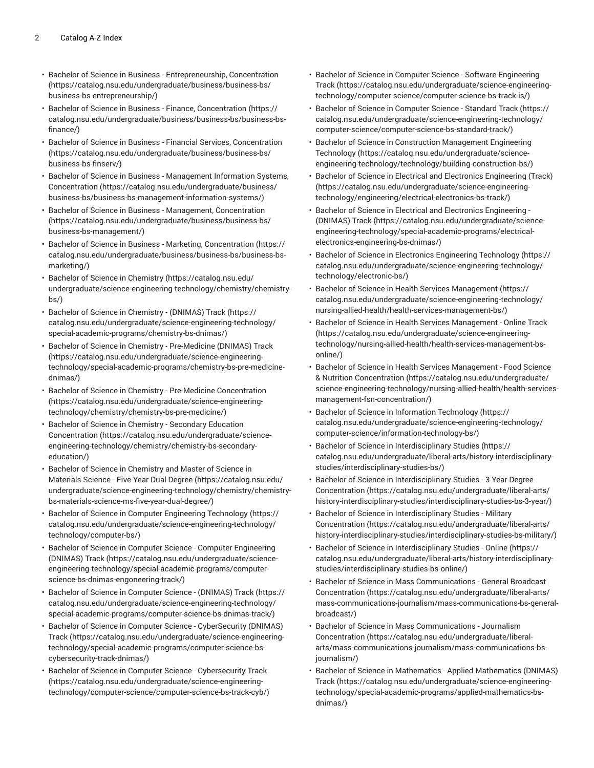- Bachelor of Science in Business [Entrepreneurship,](https://catalog.nsu.edu/undergraduate/business/business-bs/business-bs-entrepreneurship/) Concentration ([https://catalog.nsu.edu/undergraduate/business/business-bs/](https://catalog.nsu.edu/undergraduate/business/business-bs/business-bs-entrepreneurship/) [business-bs-entrepreneurship/\)](https://catalog.nsu.edu/undergraduate/business/business-bs/business-bs-entrepreneurship/)
- [Bachelor of Science in Business Finance, Concentration](https://catalog.nsu.edu/undergraduate/business/business-bs/business-bs-finance/) ([https://](https://catalog.nsu.edu/undergraduate/business/business-bs/business-bs-finance/) [catalog.nsu.edu/undergraduate/business/business-bs/business-bs](https://catalog.nsu.edu/undergraduate/business/business-bs/business-bs-finance/)[finance/\)](https://catalog.nsu.edu/undergraduate/business/business-bs/business-bs-finance/)
- Bachelor of Science in Business Financial Services, [Concentration](https://catalog.nsu.edu/undergraduate/business/business-bs/business-bs-finserv/) ([https://catalog.nsu.edu/undergraduate/business/business-bs/](https://catalog.nsu.edu/undergraduate/business/business-bs/business-bs-finserv/) [business-bs-finserv/](https://catalog.nsu.edu/undergraduate/business/business-bs/business-bs-finserv/))
- [Bachelor of Science in Business Management Information Systems,](https://catalog.nsu.edu/undergraduate/business/business-bs/business-bs-management-information-systems/) [Concentration](https://catalog.nsu.edu/undergraduate/business/business-bs/business-bs-management-information-systems/) ([https://catalog.nsu.edu/undergraduate/business/](https://catalog.nsu.edu/undergraduate/business/business-bs/business-bs-management-information-systems/) [business-bs/business-bs-management-information-systems/\)](https://catalog.nsu.edu/undergraduate/business/business-bs/business-bs-management-information-systems/)
- [Bachelor of Science in Business Management, Concentration](https://catalog.nsu.edu/undergraduate/business/business-bs/business-bs-management/) ([https://catalog.nsu.edu/undergraduate/business/business-bs/](https://catalog.nsu.edu/undergraduate/business/business-bs/business-bs-management/) [business-bs-management/](https://catalog.nsu.edu/undergraduate/business/business-bs/business-bs-management/))
- Bachelor of Science in Business Marketing, [Concentration](https://catalog.nsu.edu/undergraduate/business/business-bs/business-bs-marketing/) ([https://](https://catalog.nsu.edu/undergraduate/business/business-bs/business-bs-marketing/) [catalog.nsu.edu/undergraduate/business/business-bs/business-bs](https://catalog.nsu.edu/undergraduate/business/business-bs/business-bs-marketing/)[marketing/\)](https://catalog.nsu.edu/undergraduate/business/business-bs/business-bs-marketing/)
- Bachelor of Science in [Chemistry \(https://catalog.nsu.edu/](https://catalog.nsu.edu/undergraduate/science-engineering-technology/chemistry/chemistry-bs/) [undergraduate/science-engineering-technology/chemistry/chemistry](https://catalog.nsu.edu/undergraduate/science-engineering-technology/chemistry/chemistry-bs/)[bs/](https://catalog.nsu.edu/undergraduate/science-engineering-technology/chemistry/chemistry-bs/))
- Bachelor of Science in [Chemistry](https://catalog.nsu.edu/undergraduate/science-engineering-technology/special-academic-programs/chemistry-bs-dnimas/) (DNIMAS) Track [\(https://](https://catalog.nsu.edu/undergraduate/science-engineering-technology/special-academic-programs/chemistry-bs-dnimas/) [catalog.nsu.edu/undergraduate/science-engineering-technology/](https://catalog.nsu.edu/undergraduate/science-engineering-technology/special-academic-programs/chemistry-bs-dnimas/) [special-academic-programs/chemistry-bs-dnimas/\)](https://catalog.nsu.edu/undergraduate/science-engineering-technology/special-academic-programs/chemistry-bs-dnimas/)
- Bachelor of Science in Chemistry [Pre-Medicine](https://catalog.nsu.edu/undergraduate/science-engineering-technology/special-academic-programs/chemistry-bs-pre-medicine-dnimas/) (DNIMAS) Track ([https://catalog.nsu.edu/undergraduate/science-engineering](https://catalog.nsu.edu/undergraduate/science-engineering-technology/special-academic-programs/chemistry-bs-pre-medicine-dnimas/)[technology/special-academic-programs/chemistry-bs-pre-medicine](https://catalog.nsu.edu/undergraduate/science-engineering-technology/special-academic-programs/chemistry-bs-pre-medicine-dnimas/)[dnimas/\)](https://catalog.nsu.edu/undergraduate/science-engineering-technology/special-academic-programs/chemistry-bs-pre-medicine-dnimas/)
- Bachelor of Science in Chemistry Pre-Medicine [Concentration](https://catalog.nsu.edu/undergraduate/science-engineering-technology/chemistry/chemistry-bs-pre-medicine/) ([https://catalog.nsu.edu/undergraduate/science-engineering](https://catalog.nsu.edu/undergraduate/science-engineering-technology/chemistry/chemistry-bs-pre-medicine/)[technology/chemistry/chemistry-bs-pre-medicine/\)](https://catalog.nsu.edu/undergraduate/science-engineering-technology/chemistry/chemistry-bs-pre-medicine/)
- Bachelor of Science in Chemistry [Secondary](https://catalog.nsu.edu/undergraduate/science-engineering-technology/chemistry/chemistry-bs-secondary-education/) Education [Concentration](https://catalog.nsu.edu/undergraduate/science-engineering-technology/chemistry/chemistry-bs-secondary-education/) ([https://catalog.nsu.edu/undergraduate/science](https://catalog.nsu.edu/undergraduate/science-engineering-technology/chemistry/chemistry-bs-secondary-education/)[engineering-technology/chemistry/chemistry-bs-secondary](https://catalog.nsu.edu/undergraduate/science-engineering-technology/chemistry/chemistry-bs-secondary-education/)[education/](https://catalog.nsu.edu/undergraduate/science-engineering-technology/chemistry/chemistry-bs-secondary-education/))
- Bachelor of Science in [Chemistry](https://catalog.nsu.edu/undergraduate/science-engineering-technology/chemistry/chemistry-bs-materials-science-ms-five-year-dual-degree/) and Master of Science in [Materials](https://catalog.nsu.edu/undergraduate/science-engineering-technology/chemistry/chemistry-bs-materials-science-ms-five-year-dual-degree/) Science - Five-Year Dual Degree [\(https://catalog.nsu.edu/](https://catalog.nsu.edu/undergraduate/science-engineering-technology/chemistry/chemistry-bs-materials-science-ms-five-year-dual-degree/) [undergraduate/science-engineering-technology/chemistry/chemistry](https://catalog.nsu.edu/undergraduate/science-engineering-technology/chemistry/chemistry-bs-materials-science-ms-five-year-dual-degree/)[bs-materials-science-ms-five-year-dual-degree/\)](https://catalog.nsu.edu/undergraduate/science-engineering-technology/chemistry/chemistry-bs-materials-science-ms-five-year-dual-degree/)
- Bachelor of Science in Computer [Engineering](https://catalog.nsu.edu/undergraduate/science-engineering-technology/technology/computer-bs/) Technology [\(https://](https://catalog.nsu.edu/undergraduate/science-engineering-technology/technology/computer-bs/) [catalog.nsu.edu/undergraduate/science-engineering-technology/](https://catalog.nsu.edu/undergraduate/science-engineering-technology/technology/computer-bs/) [technology/computer-bs/](https://catalog.nsu.edu/undergraduate/science-engineering-technology/technology/computer-bs/))
- [Bachelor of Science in Computer Science Computer Engineering](https://catalog.nsu.edu/undergraduate/science-engineering-technology/special-academic-programs/computer-science-bs-dnimas-engoneering-track/) [\(DNIMAS\)](https://catalog.nsu.edu/undergraduate/science-engineering-technology/special-academic-programs/computer-science-bs-dnimas-engoneering-track/) Track [\(https://catalog.nsu.edu/undergraduate/science](https://catalog.nsu.edu/undergraduate/science-engineering-technology/special-academic-programs/computer-science-bs-dnimas-engoneering-track/)[engineering-technology/special-academic-programs/computer](https://catalog.nsu.edu/undergraduate/science-engineering-technology/special-academic-programs/computer-science-bs-dnimas-engoneering-track/)[science-bs-dnimas-engoneering-track/\)](https://catalog.nsu.edu/undergraduate/science-engineering-technology/special-academic-programs/computer-science-bs-dnimas-engoneering-track/)
- Bachelor of Science in Computer Science [\(DNIMAS\)](https://catalog.nsu.edu/undergraduate/science-engineering-technology/special-academic-programs/computer-science-bs-dnimas-track/) Track [\(https://](https://catalog.nsu.edu/undergraduate/science-engineering-technology/special-academic-programs/computer-science-bs-dnimas-track/) [catalog.nsu.edu/undergraduate/science-engineering-technology/](https://catalog.nsu.edu/undergraduate/science-engineering-technology/special-academic-programs/computer-science-bs-dnimas-track/) [special-academic-programs/computer-science-bs-dnimas-track/\)](https://catalog.nsu.edu/undergraduate/science-engineering-technology/special-academic-programs/computer-science-bs-dnimas-track/)
- Bachelor of Science in Computer Science [CyberSecurity](https://catalog.nsu.edu/undergraduate/science-engineering-technology/special-academic-programs/computer-science-bs-cybersecurity-track-dnimas/) (DNIMAS) [Track](https://catalog.nsu.edu/undergraduate/science-engineering-technology/special-academic-programs/computer-science-bs-cybersecurity-track-dnimas/) ([https://catalog.nsu.edu/undergraduate/science-engineering](https://catalog.nsu.edu/undergraduate/science-engineering-technology/special-academic-programs/computer-science-bs-cybersecurity-track-dnimas/)[technology/special-academic-programs/computer-science-bs](https://catalog.nsu.edu/undergraduate/science-engineering-technology/special-academic-programs/computer-science-bs-cybersecurity-track-dnimas/)[cybersecurity-track-dnimas/](https://catalog.nsu.edu/undergraduate/science-engineering-technology/special-academic-programs/computer-science-bs-cybersecurity-track-dnimas/))
- Bachelor of Science in Computer Science [Cybersecurity](https://catalog.nsu.edu/undergraduate/science-engineering-technology/computer-science/computer-science-bs-track-cyb/) Track ([https://catalog.nsu.edu/undergraduate/science-engineering](https://catalog.nsu.edu/undergraduate/science-engineering-technology/computer-science/computer-science-bs-track-cyb/)[technology/computer-science/computer-science-bs-track-cyb/](https://catalog.nsu.edu/undergraduate/science-engineering-technology/computer-science/computer-science-bs-track-cyb/))
- Bachelor of Science in Computer Science Software [Engineering](https://catalog.nsu.edu/undergraduate/science-engineering-technology/computer-science/computer-science-bs-track-is/) [Track](https://catalog.nsu.edu/undergraduate/science-engineering-technology/computer-science/computer-science-bs-track-is/) ([https://catalog.nsu.edu/undergraduate/science-engineering](https://catalog.nsu.edu/undergraduate/science-engineering-technology/computer-science/computer-science-bs-track-is/)[technology/computer-science/computer-science-bs-track-is/\)](https://catalog.nsu.edu/undergraduate/science-engineering-technology/computer-science/computer-science-bs-track-is/)
- Bachelor of Science in [Computer](https://catalog.nsu.edu/undergraduate/science-engineering-technology/computer-science/computer-science-bs-standard-track/) Science Standard Track ([https://](https://catalog.nsu.edu/undergraduate/science-engineering-technology/computer-science/computer-science-bs-standard-track/) [catalog.nsu.edu/undergraduate/science-engineering-technology/](https://catalog.nsu.edu/undergraduate/science-engineering-technology/computer-science/computer-science-bs-standard-track/) [computer-science/computer-science-bs-standard-track/](https://catalog.nsu.edu/undergraduate/science-engineering-technology/computer-science/computer-science-bs-standard-track/))
- [Bachelor of Science in Construction Management Engineering](https://catalog.nsu.edu/undergraduate/science-engineering-technology/technology/building-construction-bs/) [Technology](https://catalog.nsu.edu/undergraduate/science-engineering-technology/technology/building-construction-bs/) ([https://catalog.nsu.edu/undergraduate/science](https://catalog.nsu.edu/undergraduate/science-engineering-technology/technology/building-construction-bs/)[engineering-technology/technology/building-construction-bs/](https://catalog.nsu.edu/undergraduate/science-engineering-technology/technology/building-construction-bs/))
- Bachelor of Science in Electrical and Electronics [Engineering](https://catalog.nsu.edu/undergraduate/science-engineering-technology/engineering/electrical-electronics-bs-track/) (Track) [\(https://catalog.nsu.edu/undergraduate/science-engineering](https://catalog.nsu.edu/undergraduate/science-engineering-technology/engineering/electrical-electronics-bs-track/)[technology/engineering/electrical-electronics-bs-track/](https://catalog.nsu.edu/undergraduate/science-engineering-technology/engineering/electrical-electronics-bs-track/))
- Bachelor of Science in Electrical and Electronics [Engineering](https://catalog.nsu.edu/undergraduate/science-engineering-technology/special-academic-programs/electrical-electronics-engineering-bs-dnimas/) [\(DNIMAS\)](https://catalog.nsu.edu/undergraduate/science-engineering-technology/special-academic-programs/electrical-electronics-engineering-bs-dnimas/) Track ([https://catalog.nsu.edu/undergraduate/science](https://catalog.nsu.edu/undergraduate/science-engineering-technology/special-academic-programs/electrical-electronics-engineering-bs-dnimas/)[engineering-technology/special-academic-programs/electrical](https://catalog.nsu.edu/undergraduate/science-engineering-technology/special-academic-programs/electrical-electronics-engineering-bs-dnimas/)[electronics-engineering-bs-dnimas/](https://catalog.nsu.edu/undergraduate/science-engineering-technology/special-academic-programs/electrical-electronics-engineering-bs-dnimas/))
- Bachelor of Science in Electronics [Engineering](https://catalog.nsu.edu/undergraduate/science-engineering-technology/technology/electronic-bs/) Technology [\(https://](https://catalog.nsu.edu/undergraduate/science-engineering-technology/technology/electronic-bs/) [catalog.nsu.edu/undergraduate/science-engineering-technology/](https://catalog.nsu.edu/undergraduate/science-engineering-technology/technology/electronic-bs/) [technology/electronic-bs/](https://catalog.nsu.edu/undergraduate/science-engineering-technology/technology/electronic-bs/))
- Bachelor of Science in Health Services [Management](https://catalog.nsu.edu/undergraduate/science-engineering-technology/nursing-allied-health/health-services-management-bs/) ([https://](https://catalog.nsu.edu/undergraduate/science-engineering-technology/nursing-allied-health/health-services-management-bs/) [catalog.nsu.edu/undergraduate/science-engineering-technology/](https://catalog.nsu.edu/undergraduate/science-engineering-technology/nursing-allied-health/health-services-management-bs/) [nursing-allied-health/health-services-management-bs/](https://catalog.nsu.edu/undergraduate/science-engineering-technology/nursing-allied-health/health-services-management-bs/))
- Bachelor of Science in Health Services [Management](https://catalog.nsu.edu/undergraduate/science-engineering-technology/nursing-allied-health/health-services-management-bs-online/) Online Track [\(https://catalog.nsu.edu/undergraduate/science-engineering](https://catalog.nsu.edu/undergraduate/science-engineering-technology/nursing-allied-health/health-services-management-bs-online/)[technology/nursing-allied-health/health-services-management-bs](https://catalog.nsu.edu/undergraduate/science-engineering-technology/nursing-allied-health/health-services-management-bs-online/)[online/\)](https://catalog.nsu.edu/undergraduate/science-engineering-technology/nursing-allied-health/health-services-management-bs-online/)
- Bachelor of Science in Health Services [Management](https://catalog.nsu.edu/undergraduate/science-engineering-technology/nursing-allied-health/health-services-management-fsn-concentration/) Food Science [& Nutrition Concentration \(https://catalog.nsu.edu/undergraduate/](https://catalog.nsu.edu/undergraduate/science-engineering-technology/nursing-allied-health/health-services-management-fsn-concentration/) [science-engineering-technology/nursing-allied-health/health-services](https://catalog.nsu.edu/undergraduate/science-engineering-technology/nursing-allied-health/health-services-management-fsn-concentration/)[management-fsn-concentration/](https://catalog.nsu.edu/undergraduate/science-engineering-technology/nursing-allied-health/health-services-management-fsn-concentration/))
- Bachelor of Science in [Information](https://catalog.nsu.edu/undergraduate/science-engineering-technology/computer-science/information-technology-bs/) Technology ([https://](https://catalog.nsu.edu/undergraduate/science-engineering-technology/computer-science/information-technology-bs/) [catalog.nsu.edu/undergraduate/science-engineering-technology/](https://catalog.nsu.edu/undergraduate/science-engineering-technology/computer-science/information-technology-bs/) [computer-science/information-technology-bs/](https://catalog.nsu.edu/undergraduate/science-engineering-technology/computer-science/information-technology-bs/))
- Bachelor of Science in [Interdisciplinary](https://catalog.nsu.edu/undergraduate/liberal-arts/history-interdisciplinary-studies/interdisciplinary-studies-bs/) Studies [\(https://](https://catalog.nsu.edu/undergraduate/liberal-arts/history-interdisciplinary-studies/interdisciplinary-studies-bs/) [catalog.nsu.edu/undergraduate/liberal-arts/history-interdisciplinary](https://catalog.nsu.edu/undergraduate/liberal-arts/history-interdisciplinary-studies/interdisciplinary-studies-bs/)[studies/interdisciplinary-studies-bs/](https://catalog.nsu.edu/undergraduate/liberal-arts/history-interdisciplinary-studies/interdisciplinary-studies-bs/))
- Bachelor of Science in [Interdisciplinary](https://catalog.nsu.edu/undergraduate/liberal-arts/history-interdisciplinary-studies/interdisciplinary-studies-bs-3-year/) Studies 3 Year Degree [Concentration](https://catalog.nsu.edu/undergraduate/liberal-arts/history-interdisciplinary-studies/interdisciplinary-studies-bs-3-year/) ([https://catalog.nsu.edu/undergraduate/liberal-arts/](https://catalog.nsu.edu/undergraduate/liberal-arts/history-interdisciplinary-studies/interdisciplinary-studies-bs-3-year/) [history-interdisciplinary-studies/interdisciplinary-studies-bs-3-year/](https://catalog.nsu.edu/undergraduate/liberal-arts/history-interdisciplinary-studies/interdisciplinary-studies-bs-3-year/))
- Bachelor of Science in [Interdisciplinary](https://catalog.nsu.edu/undergraduate/liberal-arts/history-interdisciplinary-studies/interdisciplinary-studies-bs-military/) Studies Military [Concentration](https://catalog.nsu.edu/undergraduate/liberal-arts/history-interdisciplinary-studies/interdisciplinary-studies-bs-military/) ([https://catalog.nsu.edu/undergraduate/liberal-arts/](https://catalog.nsu.edu/undergraduate/liberal-arts/history-interdisciplinary-studies/interdisciplinary-studies-bs-military/) [history-interdisciplinary-studies/interdisciplinary-studies-bs-military/](https://catalog.nsu.edu/undergraduate/liberal-arts/history-interdisciplinary-studies/interdisciplinary-studies-bs-military/))
- Bachelor of Science in [Interdisciplinary](https://catalog.nsu.edu/undergraduate/liberal-arts/history-interdisciplinary-studies/interdisciplinary-studies-bs-online/) Studies Online ([https://](https://catalog.nsu.edu/undergraduate/liberal-arts/history-interdisciplinary-studies/interdisciplinary-studies-bs-online/) [catalog.nsu.edu/undergraduate/liberal-arts/history-interdisciplinary](https://catalog.nsu.edu/undergraduate/liberal-arts/history-interdisciplinary-studies/interdisciplinary-studies-bs-online/)[studies/interdisciplinary-studies-bs-online/\)](https://catalog.nsu.edu/undergraduate/liberal-arts/history-interdisciplinary-studies/interdisciplinary-studies-bs-online/)
- Bachelor of Science in Mass [Communications](https://catalog.nsu.edu/undergraduate/liberal-arts/mass-communications-journalism/mass-communications-bs-general-broadcast/) General Broadcast [Concentration](https://catalog.nsu.edu/undergraduate/liberal-arts/mass-communications-journalism/mass-communications-bs-general-broadcast/) ([https://catalog.nsu.edu/undergraduate/liberal-arts/](https://catalog.nsu.edu/undergraduate/liberal-arts/mass-communications-journalism/mass-communications-bs-general-broadcast/) [mass-communications-journalism/mass-communications-bs-general](https://catalog.nsu.edu/undergraduate/liberal-arts/mass-communications-journalism/mass-communications-bs-general-broadcast/)[broadcast/\)](https://catalog.nsu.edu/undergraduate/liberal-arts/mass-communications-journalism/mass-communications-bs-general-broadcast/)
- [Bachelor of Science in Mass Communications Journalism](https://catalog.nsu.edu/undergraduate/liberal-arts/mass-communications-journalism/mass-communications-bs-journalism/) [Concentration](https://catalog.nsu.edu/undergraduate/liberal-arts/mass-communications-journalism/mass-communications-bs-journalism/) ([https://catalog.nsu.edu/undergraduate/liberal](https://catalog.nsu.edu/undergraduate/liberal-arts/mass-communications-journalism/mass-communications-bs-journalism/)[arts/mass-communications-journalism/mass-communications-bs](https://catalog.nsu.edu/undergraduate/liberal-arts/mass-communications-journalism/mass-communications-bs-journalism/)[journalism/\)](https://catalog.nsu.edu/undergraduate/liberal-arts/mass-communications-journalism/mass-communications-bs-journalism/)
- Bachelor of Science in Mathematics Applied [Mathematics](https://catalog.nsu.edu/undergraduate/science-engineering-technology/special-academic-programs/applied-mathematics-bs-dnimas/) (DNIMAS) [Track](https://catalog.nsu.edu/undergraduate/science-engineering-technology/special-academic-programs/applied-mathematics-bs-dnimas/) ([https://catalog.nsu.edu/undergraduate/science-engineering](https://catalog.nsu.edu/undergraduate/science-engineering-technology/special-academic-programs/applied-mathematics-bs-dnimas/)[technology/special-academic-programs/applied-mathematics-bs](https://catalog.nsu.edu/undergraduate/science-engineering-technology/special-academic-programs/applied-mathematics-bs-dnimas/)[dnimas/](https://catalog.nsu.edu/undergraduate/science-engineering-technology/special-academic-programs/applied-mathematics-bs-dnimas/))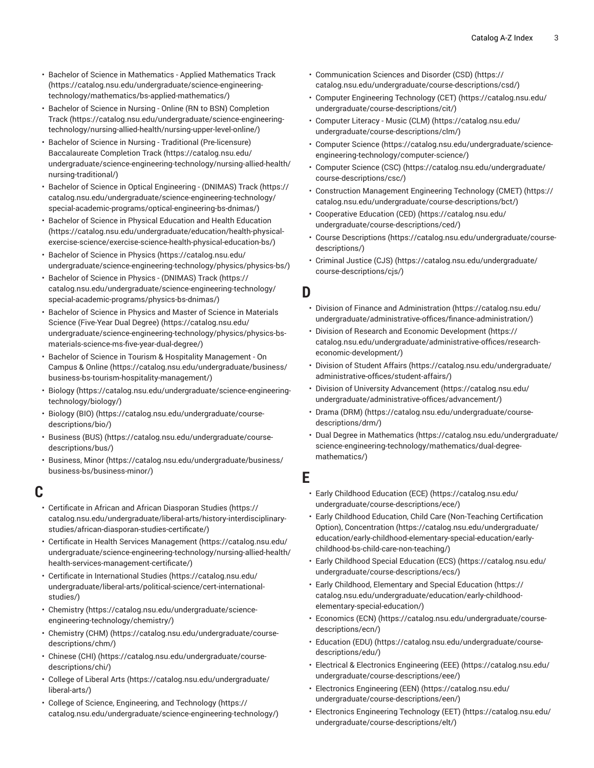- Bachelor of Science in [Mathematics](https://catalog.nsu.edu/undergraduate/science-engineering-technology/mathematics/bs-applied-mathematics/) Applied Mathematics Track ([https://catalog.nsu.edu/undergraduate/science-engineering](https://catalog.nsu.edu/undergraduate/science-engineering-technology/mathematics/bs-applied-mathematics/)[technology/mathematics/bs-applied-mathematics/](https://catalog.nsu.edu/undergraduate/science-engineering-technology/mathematics/bs-applied-mathematics/))
- [Bachelor of Science in Nursing Online \(RN to BSN\) Completion](https://catalog.nsu.edu/undergraduate/science-engineering-technology/nursing-allied-health/nursing-upper-level-online/) [Track](https://catalog.nsu.edu/undergraduate/science-engineering-technology/nursing-allied-health/nursing-upper-level-online/) ([https://catalog.nsu.edu/undergraduate/science-engineering](https://catalog.nsu.edu/undergraduate/science-engineering-technology/nursing-allied-health/nursing-upper-level-online/)[technology/nursing-allied-health/nursing-upper-level-online/\)](https://catalog.nsu.edu/undergraduate/science-engineering-technology/nursing-allied-health/nursing-upper-level-online/)
- Bachelor of Science in Nursing Traditional [\(Pre-licensure\)](https://catalog.nsu.edu/undergraduate/science-engineering-technology/nursing-allied-health/nursing-traditional/) [Baccalaureate](https://catalog.nsu.edu/undergraduate/science-engineering-technology/nursing-allied-health/nursing-traditional/) Completion Track [\(https://catalog.nsu.edu/](https://catalog.nsu.edu/undergraduate/science-engineering-technology/nursing-allied-health/nursing-traditional/) [undergraduate/science-engineering-technology/nursing-allied-health/](https://catalog.nsu.edu/undergraduate/science-engineering-technology/nursing-allied-health/nursing-traditional/) [nursing-traditional/](https://catalog.nsu.edu/undergraduate/science-engineering-technology/nursing-allied-health/nursing-traditional/))
- Bachelor of Science in Optical [Engineering](https://catalog.nsu.edu/undergraduate/science-engineering-technology/special-academic-programs/optical-engineering-bs-dnimas/) (DNIMAS) Track [\(https://](https://catalog.nsu.edu/undergraduate/science-engineering-technology/special-academic-programs/optical-engineering-bs-dnimas/) [catalog.nsu.edu/undergraduate/science-engineering-technology/](https://catalog.nsu.edu/undergraduate/science-engineering-technology/special-academic-programs/optical-engineering-bs-dnimas/) [special-academic-programs/optical-engineering-bs-dnimas/\)](https://catalog.nsu.edu/undergraduate/science-engineering-technology/special-academic-programs/optical-engineering-bs-dnimas/)
- Bachelor of Science in Physical Education and Health [Education](https://catalog.nsu.edu/undergraduate/education/health-physical-exercise-science/exercise-science-health-physical-education-bs/) ([https://catalog.nsu.edu/undergraduate/education/health-physical](https://catalog.nsu.edu/undergraduate/education/health-physical-exercise-science/exercise-science-health-physical-education-bs/)[exercise-science/exercise-science-health-physical-education-bs/](https://catalog.nsu.edu/undergraduate/education/health-physical-exercise-science/exercise-science-health-physical-education-bs/))
- [Bachelor of Science in Physics](https://catalog.nsu.edu/undergraduate/science-engineering-technology/physics/physics-bs/) ([https://catalog.nsu.edu/](https://catalog.nsu.edu/undergraduate/science-engineering-technology/physics/physics-bs/) [undergraduate/science-engineering-technology/physics/physics-bs/](https://catalog.nsu.edu/undergraduate/science-engineering-technology/physics/physics-bs/))
- Bachelor of Science in Physics [\(DNIMAS\)](https://catalog.nsu.edu/undergraduate/science-engineering-technology/special-academic-programs/physics-bs-dnimas/) Track ([https://](https://catalog.nsu.edu/undergraduate/science-engineering-technology/special-academic-programs/physics-bs-dnimas/) [catalog.nsu.edu/undergraduate/science-engineering-technology/](https://catalog.nsu.edu/undergraduate/science-engineering-technology/special-academic-programs/physics-bs-dnimas/) [special-academic-programs/physics-bs-dnimas/\)](https://catalog.nsu.edu/undergraduate/science-engineering-technology/special-academic-programs/physics-bs-dnimas/)
- [Bachelor of Science in Physics and Master of Science in Materials](https://catalog.nsu.edu/undergraduate/science-engineering-technology/physics/physics-bs-materials-science-ms-five-year-dual-degree/) Science [\(Five-Year](https://catalog.nsu.edu/undergraduate/science-engineering-technology/physics/physics-bs-materials-science-ms-five-year-dual-degree/) Dual Degree) ([https://catalog.nsu.edu/](https://catalog.nsu.edu/undergraduate/science-engineering-technology/physics/physics-bs-materials-science-ms-five-year-dual-degree/) [undergraduate/science-engineering-technology/physics/physics-bs](https://catalog.nsu.edu/undergraduate/science-engineering-technology/physics/physics-bs-materials-science-ms-five-year-dual-degree/)[materials-science-ms-five-year-dual-degree/\)](https://catalog.nsu.edu/undergraduate/science-engineering-technology/physics/physics-bs-materials-science-ms-five-year-dual-degree/)
- Bachelor of Science in Tourism & Hospitality [Management](https://catalog.nsu.edu/undergraduate/business/business-bs-tourism-hospitality-management/) On [Campus & Online](https://catalog.nsu.edu/undergraduate/business/business-bs-tourism-hospitality-management/) [\(https://catalog.nsu.edu/undergraduate/business/](https://catalog.nsu.edu/undergraduate/business/business-bs-tourism-hospitality-management/) [business-bs-tourism-hospitality-management/](https://catalog.nsu.edu/undergraduate/business/business-bs-tourism-hospitality-management/))
- [Biology \(https://catalog.nsu.edu/undergraduate/science-engineering](https://catalog.nsu.edu/undergraduate/science-engineering-technology/biology/)[technology/biology/\)](https://catalog.nsu.edu/undergraduate/science-engineering-technology/biology/)
- [Biology \(BIO\)](https://catalog.nsu.edu/undergraduate/course-descriptions/bio/) ([https://catalog.nsu.edu/undergraduate/course](https://catalog.nsu.edu/undergraduate/course-descriptions/bio/)[descriptions/bio/](https://catalog.nsu.edu/undergraduate/course-descriptions/bio/))
- [Business \(BUS\) \(https://catalog.nsu.edu/undergraduate/course](https://catalog.nsu.edu/undergraduate/course-descriptions/bus/)[descriptions/bus/](https://catalog.nsu.edu/undergraduate/course-descriptions/bus/))
- [Business, Minor](https://catalog.nsu.edu/undergraduate/business/business-bs/business-minor/) [\(https://catalog.nsu.edu/undergraduate/business/](https://catalog.nsu.edu/undergraduate/business/business-bs/business-minor/) [business-bs/business-minor/](https://catalog.nsu.edu/undergraduate/business/business-bs/business-minor/))

# **C**

- [Certificate](https://catalog.nsu.edu/undergraduate/liberal-arts/history-interdisciplinary-studies/african-diasporan-studies-certificate/) in African and African Diasporan Studies [\(https://](https://catalog.nsu.edu/undergraduate/liberal-arts/history-interdisciplinary-studies/african-diasporan-studies-certificate/) [catalog.nsu.edu/undergraduate/liberal-arts/history-interdisciplinary](https://catalog.nsu.edu/undergraduate/liberal-arts/history-interdisciplinary-studies/african-diasporan-studies-certificate/)[studies/african-diasporan-studies-certificate/](https://catalog.nsu.edu/undergraduate/liberal-arts/history-interdisciplinary-studies/african-diasporan-studies-certificate/))
- Certificate in Health Services [Management](https://catalog.nsu.edu/undergraduate/science-engineering-technology/nursing-allied-health/health-services-management-certificate/) ([https://catalog.nsu.edu/](https://catalog.nsu.edu/undergraduate/science-engineering-technology/nursing-allied-health/health-services-management-certificate/) [undergraduate/science-engineering-technology/nursing-allied-health/](https://catalog.nsu.edu/undergraduate/science-engineering-technology/nursing-allied-health/health-services-management-certificate/) [health-services-management-certificate/\)](https://catalog.nsu.edu/undergraduate/science-engineering-technology/nursing-allied-health/health-services-management-certificate/)
- Certificate in [International](https://catalog.nsu.edu/undergraduate/liberal-arts/political-science/cert-international-studies/) Studies [\(https://catalog.nsu.edu/](https://catalog.nsu.edu/undergraduate/liberal-arts/political-science/cert-international-studies/) [undergraduate/liberal-arts/political-science/cert-international](https://catalog.nsu.edu/undergraduate/liberal-arts/political-science/cert-international-studies/)[studies/\)](https://catalog.nsu.edu/undergraduate/liberal-arts/political-science/cert-international-studies/)
- [Chemistry \(https://catalog.nsu.edu/undergraduate/science](https://catalog.nsu.edu/undergraduate/science-engineering-technology/chemistry/)[engineering-technology/chemistry/\)](https://catalog.nsu.edu/undergraduate/science-engineering-technology/chemistry/)
- [Chemistry](https://catalog.nsu.edu/undergraduate/course-descriptions/chm/) (CHM) [\(https://catalog.nsu.edu/undergraduate/course](https://catalog.nsu.edu/undergraduate/course-descriptions/chm/)[descriptions/chm/\)](https://catalog.nsu.edu/undergraduate/course-descriptions/chm/)
- [Chinese \(CHI\)](https://catalog.nsu.edu/undergraduate/course-descriptions/chi/) ([https://catalog.nsu.edu/undergraduate/course](https://catalog.nsu.edu/undergraduate/course-descriptions/chi/)[descriptions/chi/\)](https://catalog.nsu.edu/undergraduate/course-descriptions/chi/)
- [College](https://catalog.nsu.edu/undergraduate/liberal-arts/) of Liberal Arts ([https://catalog.nsu.edu/undergraduate/](https://catalog.nsu.edu/undergraduate/liberal-arts/) [liberal-arts/\)](https://catalog.nsu.edu/undergraduate/liberal-arts/)
- College of Science, [Engineering,](https://catalog.nsu.edu/undergraduate/science-engineering-technology/) and Technology ([https://](https://catalog.nsu.edu/undergraduate/science-engineering-technology/) [catalog.nsu.edu/undergraduate/science-engineering-technology/](https://catalog.nsu.edu/undergraduate/science-engineering-technology/))
- [Communication](https://catalog.nsu.edu/undergraduate/course-descriptions/csd/) Sciences and Disorder (CSD) [\(https://](https://catalog.nsu.edu/undergraduate/course-descriptions/csd/) [catalog.nsu.edu/undergraduate/course-descriptions/csd/](https://catalog.nsu.edu/undergraduate/course-descriptions/csd/))
- Computer [Engineering](https://catalog.nsu.edu/undergraduate/course-descriptions/cit/) Technology (CET) [\(https://catalog.nsu.edu/](https://catalog.nsu.edu/undergraduate/course-descriptions/cit/) [undergraduate/course-descriptions/cit/](https://catalog.nsu.edu/undergraduate/course-descriptions/cit/))
- [Computer Literacy Music \(CLM\)](https://catalog.nsu.edu/undergraduate/course-descriptions/clm/) ([https://catalog.nsu.edu/](https://catalog.nsu.edu/undergraduate/course-descriptions/clm/) [undergraduate/course-descriptions/clm/](https://catalog.nsu.edu/undergraduate/course-descriptions/clm/))
- [Computer Science](https://catalog.nsu.edu/undergraduate/science-engineering-technology/computer-science/) ([https://catalog.nsu.edu/undergraduate/science](https://catalog.nsu.edu/undergraduate/science-engineering-technology/computer-science/)[engineering-technology/computer-science/\)](https://catalog.nsu.edu/undergraduate/science-engineering-technology/computer-science/)
- [Computer](https://catalog.nsu.edu/undergraduate/course-descriptions/csc/) Science (CSC) [\(https://catalog.nsu.edu/undergraduate/](https://catalog.nsu.edu/undergraduate/course-descriptions/csc/) [course-descriptions/csc/\)](https://catalog.nsu.edu/undergraduate/course-descriptions/csc/)
- Construction [Management](https://catalog.nsu.edu/undergraduate/course-descriptions/bct/) Engineering Technology (CMET) [\(https://](https://catalog.nsu.edu/undergraduate/course-descriptions/bct/) [catalog.nsu.edu/undergraduate/course-descriptions/bct/\)](https://catalog.nsu.edu/undergraduate/course-descriptions/bct/)
- [Cooperative](https://catalog.nsu.edu/undergraduate/course-descriptions/ced/) Education (CED) ([https://catalog.nsu.edu/](https://catalog.nsu.edu/undergraduate/course-descriptions/ced/) [undergraduate/course-descriptions/ced/](https://catalog.nsu.edu/undergraduate/course-descriptions/ced/))
- [Course Descriptions](https://catalog.nsu.edu/undergraduate/course-descriptions/) ([https://catalog.nsu.edu/undergraduate/course](https://catalog.nsu.edu/undergraduate/course-descriptions/)[descriptions/](https://catalog.nsu.edu/undergraduate/course-descriptions/))
- [Criminal Justice \(CJS\)](https://catalog.nsu.edu/undergraduate/course-descriptions/cjs/) ([https://catalog.nsu.edu/undergraduate/](https://catalog.nsu.edu/undergraduate/course-descriptions/cjs/) [course-descriptions/cjs/\)](https://catalog.nsu.edu/undergraduate/course-descriptions/cjs/)

## **D**

- [Division of Finance and Administration](https://catalog.nsu.edu/undergraduate/administrative-offices/finance-administration/) [\(https://catalog.nsu.edu/](https://catalog.nsu.edu/undergraduate/administrative-offices/finance-administration/) [undergraduate/administrative-offices/finance-administration/](https://catalog.nsu.edu/undergraduate/administrative-offices/finance-administration/))
- Division of Research and Economic [Development](https://catalog.nsu.edu/undergraduate/administrative-offices/research-economic-development/) [\(https://](https://catalog.nsu.edu/undergraduate/administrative-offices/research-economic-development/) [catalog.nsu.edu/undergraduate/administrative-offices/research](https://catalog.nsu.edu/undergraduate/administrative-offices/research-economic-development/)[economic-development/\)](https://catalog.nsu.edu/undergraduate/administrative-offices/research-economic-development/)
- [Division of Student Affairs \(https://catalog.nsu.edu/undergraduate/](https://catalog.nsu.edu/undergraduate/administrative-offices/student-affairs/) [administrative-offices/student-affairs/](https://catalog.nsu.edu/undergraduate/administrative-offices/student-affairs/))
- Division of University [Advancement \(https://catalog.nsu.edu/](https://catalog.nsu.edu/undergraduate/administrative-offices/advancement/) [undergraduate/administrative-offices/advancement/\)](https://catalog.nsu.edu/undergraduate/administrative-offices/advancement/)
- [Drama \(DRM\)](https://catalog.nsu.edu/undergraduate/course-descriptions/drm/) ([https://catalog.nsu.edu/undergraduate/course](https://catalog.nsu.edu/undergraduate/course-descriptions/drm/)[descriptions/drm/\)](https://catalog.nsu.edu/undergraduate/course-descriptions/drm/)
- Dual Degree in [Mathematics \(https://catalog.nsu.edu/undergraduate/](https://catalog.nsu.edu/undergraduate/science-engineering-technology/mathematics/dual-degree-mathematics/) [science-engineering-technology/mathematics/dual-degree](https://catalog.nsu.edu/undergraduate/science-engineering-technology/mathematics/dual-degree-mathematics/)[mathematics/](https://catalog.nsu.edu/undergraduate/science-engineering-technology/mathematics/dual-degree-mathematics/))

# **E**

- Early [Childhood](https://catalog.nsu.edu/undergraduate/course-descriptions/ece/) Education (ECE) [\(https://catalog.nsu.edu/](https://catalog.nsu.edu/undergraduate/course-descriptions/ece/) [undergraduate/course-descriptions/ece/\)](https://catalog.nsu.edu/undergraduate/course-descriptions/ece/)
- Early Childhood Education, Child Care [\(Non-Teaching](https://catalog.nsu.edu/undergraduate/education/early-childhood-elementary-special-education/early-childhood-bs-child-care-non-teaching/) Certification [Option\), Concentration](https://catalog.nsu.edu/undergraduate/education/early-childhood-elementary-special-education/early-childhood-bs-child-care-non-teaching/) [\(https://catalog.nsu.edu/undergraduate/](https://catalog.nsu.edu/undergraduate/education/early-childhood-elementary-special-education/early-childhood-bs-child-care-non-teaching/) [education/early-childhood-elementary-special-education/early](https://catalog.nsu.edu/undergraduate/education/early-childhood-elementary-special-education/early-childhood-bs-child-care-non-teaching/)[childhood-bs-child-care-non-teaching/\)](https://catalog.nsu.edu/undergraduate/education/early-childhood-elementary-special-education/early-childhood-bs-child-care-non-teaching/)
- Early [Childhood](https://catalog.nsu.edu/undergraduate/course-descriptions/ecs/) Special Education (ECS) ([https://catalog.nsu.edu/](https://catalog.nsu.edu/undergraduate/course-descriptions/ecs/) [undergraduate/course-descriptions/ecs/\)](https://catalog.nsu.edu/undergraduate/course-descriptions/ecs/)
- Early Childhood, [Elementary](https://catalog.nsu.edu/undergraduate/education/early-childhood-elementary-special-education/) and Special Education [\(https://](https://catalog.nsu.edu/undergraduate/education/early-childhood-elementary-special-education/) [catalog.nsu.edu/undergraduate/education/early-childhood](https://catalog.nsu.edu/undergraduate/education/early-childhood-elementary-special-education/)[elementary-special-education/\)](https://catalog.nsu.edu/undergraduate/education/early-childhood-elementary-special-education/)
- [Economics](https://catalog.nsu.edu/undergraduate/course-descriptions/ecn/) (ECN) ([https://catalog.nsu.edu/undergraduate/course](https://catalog.nsu.edu/undergraduate/course-descriptions/ecn/)[descriptions/ecn/\)](https://catalog.nsu.edu/undergraduate/course-descriptions/ecn/)
- [Education](https://catalog.nsu.edu/undergraduate/course-descriptions/edu/) (EDU) ([https://catalog.nsu.edu/undergraduate/course](https://catalog.nsu.edu/undergraduate/course-descriptions/edu/)[descriptions/edu/\)](https://catalog.nsu.edu/undergraduate/course-descriptions/edu/)
- Electrical & Electronics [Engineering](https://catalog.nsu.edu/undergraduate/course-descriptions/eee/) (EEE) [\(https://catalog.nsu.edu/](https://catalog.nsu.edu/undergraduate/course-descriptions/eee/) [undergraduate/course-descriptions/eee/\)](https://catalog.nsu.edu/undergraduate/course-descriptions/eee/)
- Electronics [Engineering](https://catalog.nsu.edu/undergraduate/course-descriptions/een/) (EEN) [\(https://catalog.nsu.edu/](https://catalog.nsu.edu/undergraduate/course-descriptions/een/) [undergraduate/course-descriptions/een/](https://catalog.nsu.edu/undergraduate/course-descriptions/een/))
- Electronics [Engineering](https://catalog.nsu.edu/undergraduate/course-descriptions/elt/) Technology (EET) ([https://catalog.nsu.edu/](https://catalog.nsu.edu/undergraduate/course-descriptions/elt/) [undergraduate/course-descriptions/elt/](https://catalog.nsu.edu/undergraduate/course-descriptions/elt/))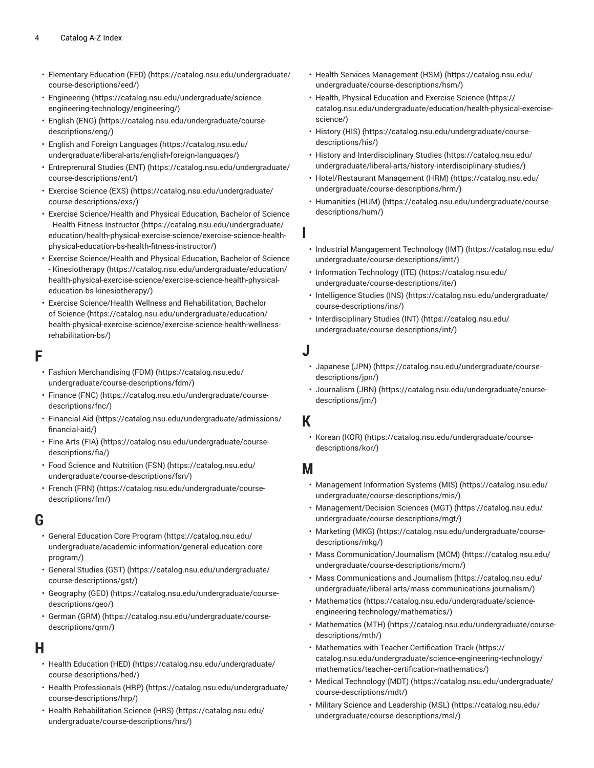- [Elementary](https://catalog.nsu.edu/undergraduate/course-descriptions/eed/) Education (EED) [\(https://catalog.nsu.edu/undergraduate/](https://catalog.nsu.edu/undergraduate/course-descriptions/eed/) [course-descriptions/eed/\)](https://catalog.nsu.edu/undergraduate/course-descriptions/eed/)
- [Engineering \(https://catalog.nsu.edu/undergraduate/science](https://catalog.nsu.edu/undergraduate/science-engineering-technology/engineering/)[engineering-technology/engineering/](https://catalog.nsu.edu/undergraduate/science-engineering-technology/engineering/))
- [English \(ENG\) \(https://catalog.nsu.edu/undergraduate/course](https://catalog.nsu.edu/undergraduate/course-descriptions/eng/)[descriptions/eng/](https://catalog.nsu.edu/undergraduate/course-descriptions/eng/))
- English and Foreign [Languages \(https://catalog.nsu.edu/](https://catalog.nsu.edu/undergraduate/liberal-arts/english-foreign-languages/) [undergraduate/liberal-arts/english-foreign-languages/\)](https://catalog.nsu.edu/undergraduate/liberal-arts/english-foreign-languages/)
- [Entreprenural](https://catalog.nsu.edu/undergraduate/course-descriptions/ent/) Studies (ENT) ([https://catalog.nsu.edu/undergraduate/](https://catalog.nsu.edu/undergraduate/course-descriptions/ent/) [course-descriptions/ent/](https://catalog.nsu.edu/undergraduate/course-descriptions/ent/))
- [Exercise](https://catalog.nsu.edu/undergraduate/course-descriptions/exs/) Science (EXS) [\(https://catalog.nsu.edu/undergraduate/](https://catalog.nsu.edu/undergraduate/course-descriptions/exs/) [course-descriptions/exs/](https://catalog.nsu.edu/undergraduate/course-descriptions/exs/))
- Exercise [Science/Health](https://catalog.nsu.edu/undergraduate/education/health-physical-exercise-science/exercise-science-health-physical-education-bs-health-fitness-instructor/) and Physical Education, Bachelor of Science [- Health Fitness Instructor \(https://catalog.nsu.edu/undergraduate/](https://catalog.nsu.edu/undergraduate/education/health-physical-exercise-science/exercise-science-health-physical-education-bs-health-fitness-instructor/) [education/health-physical-exercise-science/exercise-science-health](https://catalog.nsu.edu/undergraduate/education/health-physical-exercise-science/exercise-science-health-physical-education-bs-health-fitness-instructor/)[physical-education-bs-health-fitness-instructor/\)](https://catalog.nsu.edu/undergraduate/education/health-physical-exercise-science/exercise-science-health-physical-education-bs-health-fitness-instructor/)
- Exercise [Science/Health](https://catalog.nsu.edu/undergraduate/education/health-physical-exercise-science/exercise-science-health-physical-education-bs-kinesiotherapy/) and Physical Education, Bachelor of Science - [Kinesiotherapy](https://catalog.nsu.edu/undergraduate/education/health-physical-exercise-science/exercise-science-health-physical-education-bs-kinesiotherapy/) ([https://catalog.nsu.edu/undergraduate/education/](https://catalog.nsu.edu/undergraduate/education/health-physical-exercise-science/exercise-science-health-physical-education-bs-kinesiotherapy/) [health-physical-exercise-science/exercise-science-health-physical](https://catalog.nsu.edu/undergraduate/education/health-physical-exercise-science/exercise-science-health-physical-education-bs-kinesiotherapy/)[education-bs-kinesiotherapy/\)](https://catalog.nsu.edu/undergraduate/education/health-physical-exercise-science/exercise-science-health-physical-education-bs-kinesiotherapy/)
- Exercise [Science/Health](https://catalog.nsu.edu/undergraduate/education/health-physical-exercise-science/exercise-science-health-wellness-rehabilitation-bs/) Wellness and Rehabilitation, Bachelor [of Science \(https://catalog.nsu.edu/undergraduate/education/](https://catalog.nsu.edu/undergraduate/education/health-physical-exercise-science/exercise-science-health-wellness-rehabilitation-bs/) [health-physical-exercise-science/exercise-science-health-wellness](https://catalog.nsu.edu/undergraduate/education/health-physical-exercise-science/exercise-science-health-wellness-rehabilitation-bs/)[rehabilitation-bs/\)](https://catalog.nsu.edu/undergraduate/education/health-physical-exercise-science/exercise-science-health-wellness-rehabilitation-bs/)

## **F**

- Fashion [Merchandising](https://catalog.nsu.edu/undergraduate/course-descriptions/fdm/) (FDM) [\(https://catalog.nsu.edu/](https://catalog.nsu.edu/undergraduate/course-descriptions/fdm/) [undergraduate/course-descriptions/fdm/\)](https://catalog.nsu.edu/undergraduate/course-descriptions/fdm/)
- [Finance](https://catalog.nsu.edu/undergraduate/course-descriptions/fnc/) (FNC) ([https://catalog.nsu.edu/undergraduate/course](https://catalog.nsu.edu/undergraduate/course-descriptions/fnc/)[descriptions/fnc/\)](https://catalog.nsu.edu/undergraduate/course-descriptions/fnc/)
- [Financial Aid \(https://catalog.nsu.edu/undergraduate/admissions/](https://catalog.nsu.edu/undergraduate/admissions/financial-aid/) [financial-aid/](https://catalog.nsu.edu/undergraduate/admissions/financial-aid/))
- Fine Arts [\(FIA\) \(https://catalog.nsu.edu/undergraduate/course](https://catalog.nsu.edu/undergraduate/course-descriptions/fia/)[descriptions/fia/\)](https://catalog.nsu.edu/undergraduate/course-descriptions/fia/)
- Food Science and [Nutrition](https://catalog.nsu.edu/undergraduate/course-descriptions/fsn/) (FSN) ([https://catalog.nsu.edu/](https://catalog.nsu.edu/undergraduate/course-descriptions/fsn/) [undergraduate/course-descriptions/fsn/](https://catalog.nsu.edu/undergraduate/course-descriptions/fsn/))
- [French](https://catalog.nsu.edu/undergraduate/course-descriptions/frn/) (FRN) [\(https://catalog.nsu.edu/undergraduate/course](https://catalog.nsu.edu/undergraduate/course-descriptions/frn/)[descriptions/frn/](https://catalog.nsu.edu/undergraduate/course-descriptions/frn/))

# **G**

- General [Education](https://catalog.nsu.edu/undergraduate/academic-information/general-education-core-program/) Core Program ([https://catalog.nsu.edu/](https://catalog.nsu.edu/undergraduate/academic-information/general-education-core-program/) [undergraduate/academic-information/general-education-core](https://catalog.nsu.edu/undergraduate/academic-information/general-education-core-program/)[program/\)](https://catalog.nsu.edu/undergraduate/academic-information/general-education-core-program/)
- [General Studies \(GST\)](https://catalog.nsu.edu/undergraduate/course-descriptions/gst/) ([https://catalog.nsu.edu/undergraduate/](https://catalog.nsu.edu/undergraduate/course-descriptions/gst/) [course-descriptions/gst/](https://catalog.nsu.edu/undergraduate/course-descriptions/gst/))
- [Geography \(GEO\)](https://catalog.nsu.edu/undergraduate/course-descriptions/geo/) ([https://catalog.nsu.edu/undergraduate/course](https://catalog.nsu.edu/undergraduate/course-descriptions/geo/)[descriptions/geo/](https://catalog.nsu.edu/undergraduate/course-descriptions/geo/))
- [German \(GRM\)](https://catalog.nsu.edu/undergraduate/course-descriptions/grm/) [\(https://catalog.nsu.edu/undergraduate/course](https://catalog.nsu.edu/undergraduate/course-descriptions/grm/)[descriptions/grm/](https://catalog.nsu.edu/undergraduate/course-descriptions/grm/))

# **H**

- Health [Education](https://catalog.nsu.edu/undergraduate/course-descriptions/hed/) (HED) [\(https://catalog.nsu.edu/undergraduate/](https://catalog.nsu.edu/undergraduate/course-descriptions/hed/) [course-descriptions/hed/](https://catalog.nsu.edu/undergraduate/course-descriptions/hed/))
- Health [Professionals](https://catalog.nsu.edu/undergraduate/course-descriptions/hrp/) (HRP) ([https://catalog.nsu.edu/undergraduate/](https://catalog.nsu.edu/undergraduate/course-descriptions/hrp/) [course-descriptions/hrp/\)](https://catalog.nsu.edu/undergraduate/course-descriptions/hrp/)
- [Health Rehabilitation Science \(HRS\)](https://catalog.nsu.edu/undergraduate/course-descriptions/hrs/) [\(https://catalog.nsu.edu/](https://catalog.nsu.edu/undergraduate/course-descriptions/hrs/) [undergraduate/course-descriptions/hrs/](https://catalog.nsu.edu/undergraduate/course-descriptions/hrs/))
- Health Services [Management](https://catalog.nsu.edu/undergraduate/course-descriptions/hsm/) (HSM) ([https://catalog.nsu.edu/](https://catalog.nsu.edu/undergraduate/course-descriptions/hsm/) [undergraduate/course-descriptions/hsm/\)](https://catalog.nsu.edu/undergraduate/course-descriptions/hsm/)
- Health, Physical [Education](https://catalog.nsu.edu/undergraduate/education/health-physical-exercise-science/) and Exercise Science ([https://](https://catalog.nsu.edu/undergraduate/education/health-physical-exercise-science/) [catalog.nsu.edu/undergraduate/education/health-physical-exercise](https://catalog.nsu.edu/undergraduate/education/health-physical-exercise-science/)[science/](https://catalog.nsu.edu/undergraduate/education/health-physical-exercise-science/))
- [History](https://catalog.nsu.edu/undergraduate/course-descriptions/his/) (HIS) [\(https://catalog.nsu.edu/undergraduate/course](https://catalog.nsu.edu/undergraduate/course-descriptions/his/)[descriptions/his/](https://catalog.nsu.edu/undergraduate/course-descriptions/his/))
- History and [Interdisciplinary](https://catalog.nsu.edu/undergraduate/liberal-arts/history-interdisciplinary-studies/) Studies [\(https://catalog.nsu.edu/](https://catalog.nsu.edu/undergraduate/liberal-arts/history-interdisciplinary-studies/) [undergraduate/liberal-arts/history-interdisciplinary-studies/](https://catalog.nsu.edu/undergraduate/liberal-arts/history-interdisciplinary-studies/))
- [Hotel/Restaurant Management \(HRM\) \(https://catalog.nsu.edu/](https://catalog.nsu.edu/undergraduate/course-descriptions/hrm/) [undergraduate/course-descriptions/hrm/](https://catalog.nsu.edu/undergraduate/course-descriptions/hrm/))
- [Humanities \(HUM\)](https://catalog.nsu.edu/undergraduate/course-descriptions/hum/) ([https://catalog.nsu.edu/undergraduate/course](https://catalog.nsu.edu/undergraduate/course-descriptions/hum/)[descriptions/hum/\)](https://catalog.nsu.edu/undergraduate/course-descriptions/hum/)

**I**

- Industrial [Mangagement](https://catalog.nsu.edu/undergraduate/course-descriptions/imt/) Technology (IMT) ([https://catalog.nsu.edu/](https://catalog.nsu.edu/undergraduate/course-descriptions/imt/) [undergraduate/course-descriptions/imt/\)](https://catalog.nsu.edu/undergraduate/course-descriptions/imt/)
- [Information](https://catalog.nsu.edu/undergraduate/course-descriptions/ite/) Technology (ITE) [\(https://catalog.nsu.edu/](https://catalog.nsu.edu/undergraduate/course-descriptions/ite/) [undergraduate/course-descriptions/ite/](https://catalog.nsu.edu/undergraduate/course-descriptions/ite/))
- [Intelligence Studies \(INS\)](https://catalog.nsu.edu/undergraduate/course-descriptions/ins/) [\(https://catalog.nsu.edu/undergraduate/](https://catalog.nsu.edu/undergraduate/course-descriptions/ins/) [course-descriptions/ins/\)](https://catalog.nsu.edu/undergraduate/course-descriptions/ins/)
- [Interdisciplinary](https://catalog.nsu.edu/undergraduate/course-descriptions/int/) Studies (INT) ([https://catalog.nsu.edu/](https://catalog.nsu.edu/undergraduate/course-descriptions/int/) [undergraduate/course-descriptions/int/](https://catalog.nsu.edu/undergraduate/course-descriptions/int/))
- **J**
	- [Japanese \(JPN\) \(https://catalog.nsu.edu/undergraduate/course](https://catalog.nsu.edu/undergraduate/course-descriptions/jpn/)[descriptions/jpn/\)](https://catalog.nsu.edu/undergraduate/course-descriptions/jpn/)
	- [Journalism \(JRN\)](https://catalog.nsu.edu/undergraduate/course-descriptions/jrn/) [\(https://catalog.nsu.edu/undergraduate/course](https://catalog.nsu.edu/undergraduate/course-descriptions/jrn/)[descriptions/jrn/\)](https://catalog.nsu.edu/undergraduate/course-descriptions/jrn/)

# **K**

• [Korean](https://catalog.nsu.edu/undergraduate/course-descriptions/kor/) (KOR) ([https://catalog.nsu.edu/undergraduate/course](https://catalog.nsu.edu/undergraduate/course-descriptions/kor/)[descriptions/kor/\)](https://catalog.nsu.edu/undergraduate/course-descriptions/kor/)

# **M**

- [Management Information Systems \(MIS\)](https://catalog.nsu.edu/undergraduate/course-descriptions/mis/) ([https://catalog.nsu.edu/](https://catalog.nsu.edu/undergraduate/course-descriptions/mis/) [undergraduate/course-descriptions/mis/](https://catalog.nsu.edu/undergraduate/course-descriptions/mis/))
- [Management/Decision Sciences \(MGT\)](https://catalog.nsu.edu/undergraduate/course-descriptions/mgt/) [\(https://catalog.nsu.edu/](https://catalog.nsu.edu/undergraduate/course-descriptions/mgt/) [undergraduate/course-descriptions/mgt/](https://catalog.nsu.edu/undergraduate/course-descriptions/mgt/))
- [Marketing](https://catalog.nsu.edu/undergraduate/course-descriptions/mkg/) (MKG) [\(https://catalog.nsu.edu/undergraduate/course](https://catalog.nsu.edu/undergraduate/course-descriptions/mkg/)[descriptions/mkg/](https://catalog.nsu.edu/undergraduate/course-descriptions/mkg/))
- [Mass Communication/Journalism \(MCM\)](https://catalog.nsu.edu/undergraduate/course-descriptions/mcm/) [\(https://catalog.nsu.edu/](https://catalog.nsu.edu/undergraduate/course-descriptions/mcm/) [undergraduate/course-descriptions/mcm/](https://catalog.nsu.edu/undergraduate/course-descriptions/mcm/))
- [Mass Communications and Journalism](https://catalog.nsu.edu/undergraduate/liberal-arts/mass-communications-journalism/) ([https://catalog.nsu.edu/](https://catalog.nsu.edu/undergraduate/liberal-arts/mass-communications-journalism/) [undergraduate/liberal-arts/mass-communications-journalism/\)](https://catalog.nsu.edu/undergraduate/liberal-arts/mass-communications-journalism/)
- [Mathematics](https://catalog.nsu.edu/undergraduate/science-engineering-technology/mathematics/) ([https://catalog.nsu.edu/undergraduate/science](https://catalog.nsu.edu/undergraduate/science-engineering-technology/mathematics/)[engineering-technology/mathematics/\)](https://catalog.nsu.edu/undergraduate/science-engineering-technology/mathematics/)
- [Mathematics](https://catalog.nsu.edu/undergraduate/course-descriptions/mth/) (MTH) [\(https://catalog.nsu.edu/undergraduate/course](https://catalog.nsu.edu/undergraduate/course-descriptions/mth/)[descriptions/mth/\)](https://catalog.nsu.edu/undergraduate/course-descriptions/mth/)
- [Mathematics](https://catalog.nsu.edu/undergraduate/science-engineering-technology/mathematics/teacher-certification-mathematics/) with Teacher Certification Track [\(https://](https://catalog.nsu.edu/undergraduate/science-engineering-technology/mathematics/teacher-certification-mathematics/) [catalog.nsu.edu/undergraduate/science-engineering-technology/](https://catalog.nsu.edu/undergraduate/science-engineering-technology/mathematics/teacher-certification-mathematics/) [mathematics/teacher-certification-mathematics/](https://catalog.nsu.edu/undergraduate/science-engineering-technology/mathematics/teacher-certification-mathematics/))
- Medical [Technology](https://catalog.nsu.edu/undergraduate/course-descriptions/mdt/) (MDT) [\(https://catalog.nsu.edu/undergraduate/](https://catalog.nsu.edu/undergraduate/course-descriptions/mdt/) [course-descriptions/mdt/](https://catalog.nsu.edu/undergraduate/course-descriptions/mdt/))
- Military Science and [Leadership](https://catalog.nsu.edu/undergraduate/course-descriptions/msl/) (MSL) [\(https://catalog.nsu.edu/](https://catalog.nsu.edu/undergraduate/course-descriptions/msl/) [undergraduate/course-descriptions/msl/](https://catalog.nsu.edu/undergraduate/course-descriptions/msl/))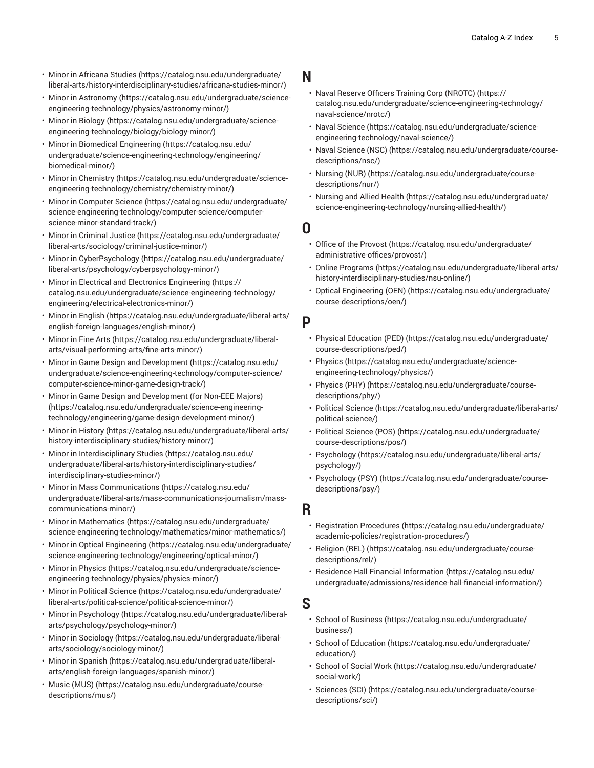- [Minor in Africana Studies \(https://catalog.nsu.edu/undergraduate/](https://catalog.nsu.edu/undergraduate/liberal-arts/history-interdisciplinary-studies/africana-studies-minor/) [liberal-arts/history-interdisciplinary-studies/africana-studies-minor/](https://catalog.nsu.edu/undergraduate/liberal-arts/history-interdisciplinary-studies/africana-studies-minor/))
- Minor in [Astronomy \(https://catalog.nsu.edu/undergraduate/science](https://catalog.nsu.edu/undergraduate/science-engineering-technology/physics/astronomy-minor/)[engineering-technology/physics/astronomy-minor/\)](https://catalog.nsu.edu/undergraduate/science-engineering-technology/physics/astronomy-minor/)
- [Minor in Biology](https://catalog.nsu.edu/undergraduate/science-engineering-technology/biology/biology-minor/) ([https://catalog.nsu.edu/undergraduate/science](https://catalog.nsu.edu/undergraduate/science-engineering-technology/biology/biology-minor/)[engineering-technology/biology/biology-minor/\)](https://catalog.nsu.edu/undergraduate/science-engineering-technology/biology/biology-minor/)
- [Minor in Biomedical Engineering](https://catalog.nsu.edu/undergraduate/science-engineering-technology/engineering/biomedical-minor/) ([https://catalog.nsu.edu/](https://catalog.nsu.edu/undergraduate/science-engineering-technology/engineering/biomedical-minor/) [undergraduate/science-engineering-technology/engineering/](https://catalog.nsu.edu/undergraduate/science-engineering-technology/engineering/biomedical-minor/) [biomedical-minor/\)](https://catalog.nsu.edu/undergraduate/science-engineering-technology/engineering/biomedical-minor/)
- Minor in [Chemistry](https://catalog.nsu.edu/undergraduate/science-engineering-technology/chemistry/chemistry-minor/) ([https://catalog.nsu.edu/undergraduate/science](https://catalog.nsu.edu/undergraduate/science-engineering-technology/chemistry/chemistry-minor/)[engineering-technology/chemistry/chemistry-minor/\)](https://catalog.nsu.edu/undergraduate/science-engineering-technology/chemistry/chemistry-minor/)
- [Minor in Computer Science](https://catalog.nsu.edu/undergraduate/science-engineering-technology/computer-science/computer-science-minor-standard-track/) ([https://catalog.nsu.edu/undergraduate/](https://catalog.nsu.edu/undergraduate/science-engineering-technology/computer-science/computer-science-minor-standard-track/) [science-engineering-technology/computer-science/computer](https://catalog.nsu.edu/undergraduate/science-engineering-technology/computer-science/computer-science-minor-standard-track/)[science-minor-standard-track/\)](https://catalog.nsu.edu/undergraduate/science-engineering-technology/computer-science/computer-science-minor-standard-track/)
- [Minor in Criminal Justice](https://catalog.nsu.edu/undergraduate/liberal-arts/sociology/criminal-justice-minor/) [\(https://catalog.nsu.edu/undergraduate/](https://catalog.nsu.edu/undergraduate/liberal-arts/sociology/criminal-justice-minor/) [liberal-arts/sociology/criminal-justice-minor/\)](https://catalog.nsu.edu/undergraduate/liberal-arts/sociology/criminal-justice-minor/)
- Minor in [CyberPsychology \(https://catalog.nsu.edu/undergraduate/](https://catalog.nsu.edu/undergraduate/liberal-arts/psychology/cyberpsychology-minor/) [liberal-arts/psychology/cyberpsychology-minor/](https://catalog.nsu.edu/undergraduate/liberal-arts/psychology/cyberpsychology-minor/))
- Minor in Electrical and Electronics [Engineering \(https://](https://catalog.nsu.edu/undergraduate/science-engineering-technology/engineering/electrical-electronics-minor/) [catalog.nsu.edu/undergraduate/science-engineering-technology/](https://catalog.nsu.edu/undergraduate/science-engineering-technology/engineering/electrical-electronics-minor/) [engineering/electrical-electronics-minor/](https://catalog.nsu.edu/undergraduate/science-engineering-technology/engineering/electrical-electronics-minor/))
- [Minor in English](https://catalog.nsu.edu/undergraduate/liberal-arts/english-foreign-languages/english-minor/) ([https://catalog.nsu.edu/undergraduate/liberal-arts/](https://catalog.nsu.edu/undergraduate/liberal-arts/english-foreign-languages/english-minor/) [english-foreign-languages/english-minor/\)](https://catalog.nsu.edu/undergraduate/liberal-arts/english-foreign-languages/english-minor/)
- [Minor](https://catalog.nsu.edu/undergraduate/liberal-arts/visual-performing-arts/fine-arts-minor/) in Fine Arts [\(https://catalog.nsu.edu/undergraduate/liberal](https://catalog.nsu.edu/undergraduate/liberal-arts/visual-performing-arts/fine-arts-minor/)[arts/visual-performing-arts/fine-arts-minor/\)](https://catalog.nsu.edu/undergraduate/liberal-arts/visual-performing-arts/fine-arts-minor/)
- Minor in Game Design and [Development](https://catalog.nsu.edu/undergraduate/science-engineering-technology/computer-science/computer-science-minor-game-design-track/) ([https://catalog.nsu.edu/](https://catalog.nsu.edu/undergraduate/science-engineering-technology/computer-science/computer-science-minor-game-design-track/) [undergraduate/science-engineering-technology/computer-science/](https://catalog.nsu.edu/undergraduate/science-engineering-technology/computer-science/computer-science-minor-game-design-track/) [computer-science-minor-game-design-track/\)](https://catalog.nsu.edu/undergraduate/science-engineering-technology/computer-science/computer-science-minor-game-design-track/)
- Minor in Game Design and [Development](https://catalog.nsu.edu/undergraduate/science-engineering-technology/engineering/game-design-development-minor/) (for Non-EEE Majors) ([https://catalog.nsu.edu/undergraduate/science-engineering](https://catalog.nsu.edu/undergraduate/science-engineering-technology/engineering/game-design-development-minor/)[technology/engineering/game-design-development-minor/](https://catalog.nsu.edu/undergraduate/science-engineering-technology/engineering/game-design-development-minor/))
- Minor in [History](https://catalog.nsu.edu/undergraduate/liberal-arts/history-interdisciplinary-studies/history-minor/) [\(https://catalog.nsu.edu/undergraduate/liberal-arts/](https://catalog.nsu.edu/undergraduate/liberal-arts/history-interdisciplinary-studies/history-minor/) [history-interdisciplinary-studies/history-minor/\)](https://catalog.nsu.edu/undergraduate/liberal-arts/history-interdisciplinary-studies/history-minor/)
- Minor in [Interdisciplinary](https://catalog.nsu.edu/undergraduate/liberal-arts/history-interdisciplinary-studies/interdisciplinary-studies-minor/) Studies ([https://catalog.nsu.edu/](https://catalog.nsu.edu/undergraduate/liberal-arts/history-interdisciplinary-studies/interdisciplinary-studies-minor/) [undergraduate/liberal-arts/history-interdisciplinary-studies/](https://catalog.nsu.edu/undergraduate/liberal-arts/history-interdisciplinary-studies/interdisciplinary-studies-minor/) [interdisciplinary-studies-minor/](https://catalog.nsu.edu/undergraduate/liberal-arts/history-interdisciplinary-studies/interdisciplinary-studies-minor/))
- [Minor in Mass Communications](https://catalog.nsu.edu/undergraduate/liberal-arts/mass-communications-journalism/mass-communications-minor/) [\(https://catalog.nsu.edu/](https://catalog.nsu.edu/undergraduate/liberal-arts/mass-communications-journalism/mass-communications-minor/) [undergraduate/liberal-arts/mass-communications-journalism/mass](https://catalog.nsu.edu/undergraduate/liberal-arts/mass-communications-journalism/mass-communications-minor/)[communications-minor/\)](https://catalog.nsu.edu/undergraduate/liberal-arts/mass-communications-journalism/mass-communications-minor/)
- [Minor in Mathematics](https://catalog.nsu.edu/undergraduate/science-engineering-technology/mathematics/minor-mathematics/) ([https://catalog.nsu.edu/undergraduate/](https://catalog.nsu.edu/undergraduate/science-engineering-technology/mathematics/minor-mathematics/) [science-engineering-technology/mathematics/minor-mathematics/](https://catalog.nsu.edu/undergraduate/science-engineering-technology/mathematics/minor-mathematics/))
- [Minor in Optical Engineering](https://catalog.nsu.edu/undergraduate/science-engineering-technology/engineering/optical-minor/) ([https://catalog.nsu.edu/undergraduate/](https://catalog.nsu.edu/undergraduate/science-engineering-technology/engineering/optical-minor/) [science-engineering-technology/engineering/optical-minor/\)](https://catalog.nsu.edu/undergraduate/science-engineering-technology/engineering/optical-minor/)
- [Minor in Physics \(https://catalog.nsu.edu/undergraduate/science](https://catalog.nsu.edu/undergraduate/science-engineering-technology/physics/physics-minor/)[engineering-technology/physics/physics-minor/\)](https://catalog.nsu.edu/undergraduate/science-engineering-technology/physics/physics-minor/)
- Minor in [Political](https://catalog.nsu.edu/undergraduate/liberal-arts/political-science/political-science-minor/) Science [\(https://catalog.nsu.edu/undergraduate/](https://catalog.nsu.edu/undergraduate/liberal-arts/political-science/political-science-minor/) [liberal-arts/political-science/political-science-minor/\)](https://catalog.nsu.edu/undergraduate/liberal-arts/political-science/political-science-minor/)
- Minor in [Psychology](https://catalog.nsu.edu/undergraduate/liberal-arts/psychology/psychology-minor/) ([https://catalog.nsu.edu/undergraduate/liberal](https://catalog.nsu.edu/undergraduate/liberal-arts/psychology/psychology-minor/)[arts/psychology/psychology-minor/](https://catalog.nsu.edu/undergraduate/liberal-arts/psychology/psychology-minor/))
- [Minor in Sociology \(https://catalog.nsu.edu/undergraduate/liberal](https://catalog.nsu.edu/undergraduate/liberal-arts/sociology/sociology-minor/)[arts/sociology/sociology-minor/](https://catalog.nsu.edu/undergraduate/liberal-arts/sociology/sociology-minor/))
- [Minor in Spanish \(https://catalog.nsu.edu/undergraduate/liberal](https://catalog.nsu.edu/undergraduate/liberal-arts/english-foreign-languages/spanish-minor/)[arts/english-foreign-languages/spanish-minor/\)](https://catalog.nsu.edu/undergraduate/liberal-arts/english-foreign-languages/spanish-minor/)
- [Music \(MUS\) \(https://catalog.nsu.edu/undergraduate/course](https://catalog.nsu.edu/undergraduate/course-descriptions/mus/)[descriptions/mus/\)](https://catalog.nsu.edu/undergraduate/course-descriptions/mus/)

## **N**

- Naval Reserve Officers Training Corp [\(NROTC\)](https://catalog.nsu.edu/undergraduate/science-engineering-technology/naval-science/nrotc/) ([https://](https://catalog.nsu.edu/undergraduate/science-engineering-technology/naval-science/nrotc/) [catalog.nsu.edu/undergraduate/science-engineering-technology/](https://catalog.nsu.edu/undergraduate/science-engineering-technology/naval-science/nrotc/) [naval-science/nrotc/\)](https://catalog.nsu.edu/undergraduate/science-engineering-technology/naval-science/nrotc/)
- Naval [Science](https://catalog.nsu.edu/undergraduate/science-engineering-technology/naval-science/) ([https://catalog.nsu.edu/undergraduate/science](https://catalog.nsu.edu/undergraduate/science-engineering-technology/naval-science/)[engineering-technology/naval-science/](https://catalog.nsu.edu/undergraduate/science-engineering-technology/naval-science/))
- Naval [Science](https://catalog.nsu.edu/undergraduate/course-descriptions/nsc/) (NSC) ([https://catalog.nsu.edu/undergraduate/course](https://catalog.nsu.edu/undergraduate/course-descriptions/nsc/)[descriptions/nsc/\)](https://catalog.nsu.edu/undergraduate/course-descriptions/nsc/)
- [Nursing \(NUR\)](https://catalog.nsu.edu/undergraduate/course-descriptions/nur/) [\(https://catalog.nsu.edu/undergraduate/course](https://catalog.nsu.edu/undergraduate/course-descriptions/nur/)[descriptions/nur/](https://catalog.nsu.edu/undergraduate/course-descriptions/nur/))
- [Nursing and Allied Health \(https://catalog.nsu.edu/undergraduate/](https://catalog.nsu.edu/undergraduate/science-engineering-technology/nursing-allied-health/) [science-engineering-technology/nursing-allied-health/](https://catalog.nsu.edu/undergraduate/science-engineering-technology/nursing-allied-health/))

## **O**

- Office of the [Provost](https://catalog.nsu.edu/undergraduate/administrative-offices/provost/) ([https://catalog.nsu.edu/undergraduate/](https://catalog.nsu.edu/undergraduate/administrative-offices/provost/) [administrative-offices/provost/](https://catalog.nsu.edu/undergraduate/administrative-offices/provost/))
- Online [Programs](https://catalog.nsu.edu/undergraduate/liberal-arts/history-interdisciplinary-studies/nsu-online/) ([https://catalog.nsu.edu/undergraduate/liberal-arts/](https://catalog.nsu.edu/undergraduate/liberal-arts/history-interdisciplinary-studies/nsu-online/) [history-interdisciplinary-studies/nsu-online/](https://catalog.nsu.edu/undergraduate/liberal-arts/history-interdisciplinary-studies/nsu-online/))
- [Optical Engineering \(OEN\) \(https://catalog.nsu.edu/undergraduate/](https://catalog.nsu.edu/undergraduate/course-descriptions/oen/) [course-descriptions/oen/\)](https://catalog.nsu.edu/undergraduate/course-descriptions/oen/)

# **P**

- Physical [Education](https://catalog.nsu.edu/undergraduate/course-descriptions/ped/) (PED) [\(https://catalog.nsu.edu/undergraduate/](https://catalog.nsu.edu/undergraduate/course-descriptions/ped/) [course-descriptions/ped/\)](https://catalog.nsu.edu/undergraduate/course-descriptions/ped/)
- [Physics \(https://catalog.nsu.edu/undergraduate/science](https://catalog.nsu.edu/undergraduate/science-engineering-technology/physics/)[engineering-technology/physics/](https://catalog.nsu.edu/undergraduate/science-engineering-technology/physics/))
- [Physics](https://catalog.nsu.edu/undergraduate/course-descriptions/phy/) (PHY) [\(https://catalog.nsu.edu/undergraduate/course](https://catalog.nsu.edu/undergraduate/course-descriptions/phy/)[descriptions/phy/\)](https://catalog.nsu.edu/undergraduate/course-descriptions/phy/)
- [Political](https://catalog.nsu.edu/undergraduate/liberal-arts/political-science/) Science ([https://catalog.nsu.edu/undergraduate/liberal-arts/](https://catalog.nsu.edu/undergraduate/liberal-arts/political-science/) [political-science/](https://catalog.nsu.edu/undergraduate/liberal-arts/political-science/))
- [Political](https://catalog.nsu.edu/undergraduate/course-descriptions/pos/) Science (POS) [\(https://catalog.nsu.edu/undergraduate/](https://catalog.nsu.edu/undergraduate/course-descriptions/pos/) [course-descriptions/pos/](https://catalog.nsu.edu/undergraduate/course-descriptions/pos/))
- [Psychology](https://catalog.nsu.edu/undergraduate/liberal-arts/psychology/) ([https://catalog.nsu.edu/undergraduate/liberal-arts/](https://catalog.nsu.edu/undergraduate/liberal-arts/psychology/) [psychology/\)](https://catalog.nsu.edu/undergraduate/liberal-arts/psychology/)
- [Psychology](https://catalog.nsu.edu/undergraduate/course-descriptions/psy/) (PSY) [\(https://catalog.nsu.edu/undergraduate/course](https://catalog.nsu.edu/undergraduate/course-descriptions/psy/)[descriptions/psy/](https://catalog.nsu.edu/undergraduate/course-descriptions/psy/))

#### **R**

- [Registration](https://catalog.nsu.edu/undergraduate/academic-policies/registration-procedures/) Procedures ([https://catalog.nsu.edu/undergraduate/](https://catalog.nsu.edu/undergraduate/academic-policies/registration-procedures/) [academic-policies/registration-procedures/\)](https://catalog.nsu.edu/undergraduate/academic-policies/registration-procedures/)
- [Religion \(REL\)](https://catalog.nsu.edu/undergraduate/course-descriptions/rel/) ([https://catalog.nsu.edu/undergraduate/course](https://catalog.nsu.edu/undergraduate/course-descriptions/rel/)[descriptions/rel/](https://catalog.nsu.edu/undergraduate/course-descriptions/rel/))
- [Residence Hall Financial Information \(https://catalog.nsu.edu/](https://catalog.nsu.edu/undergraduate/admissions/residence-hall-financial-information/) [undergraduate/admissions/residence-hall-financial-information/](https://catalog.nsu.edu/undergraduate/admissions/residence-hall-financial-information/))

# **S**

- [School of Business](https://catalog.nsu.edu/undergraduate/business/) [\(https://catalog.nsu.edu/undergraduate/](https://catalog.nsu.edu/undergraduate/business/) [business/](https://catalog.nsu.edu/undergraduate/business/))
- School of [Education \(https://catalog.nsu.edu/undergraduate/](https://catalog.nsu.edu/undergraduate/education/) [education/\)](https://catalog.nsu.edu/undergraduate/education/)
- [School](https://catalog.nsu.edu/undergraduate/social-work/) of Social Work ([https://catalog.nsu.edu/undergraduate/](https://catalog.nsu.edu/undergraduate/social-work/) [social-work/\)](https://catalog.nsu.edu/undergraduate/social-work/)
- [Sciences \(SCI\) \(https://catalog.nsu.edu/undergraduate/course](https://catalog.nsu.edu/undergraduate/course-descriptions/sci/)[descriptions/sci/\)](https://catalog.nsu.edu/undergraduate/course-descriptions/sci/)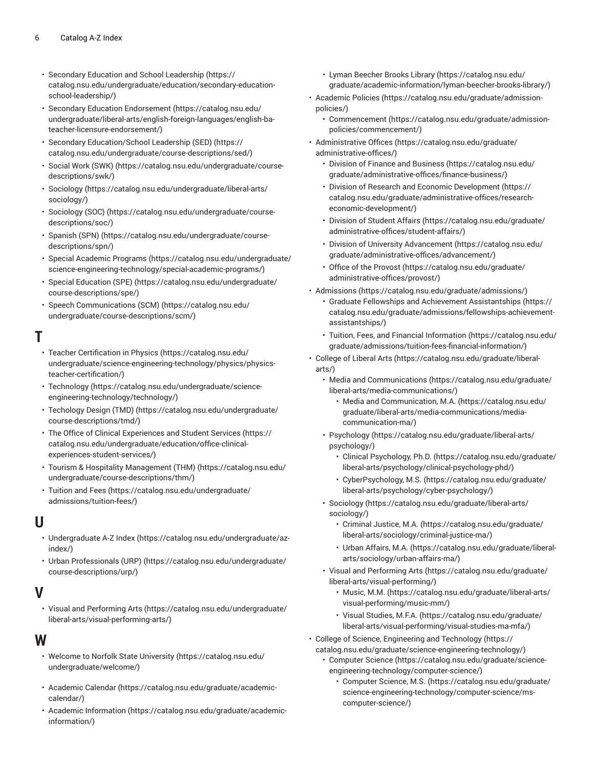- Secondary Education and School [Leadership](https://catalog.nsu.edu/undergraduate/education/secondary-education-school-leadership/) [\(https://](https://catalog.nsu.edu/undergraduate/education/secondary-education-school-leadership/) [catalog.nsu.edu/undergraduate/education/secondary-education](https://catalog.nsu.edu/undergraduate/education/secondary-education-school-leadership/)[school-leadership/\)](https://catalog.nsu.edu/undergraduate/education/secondary-education-school-leadership/)
- Secondary Education [Endorsement](https://catalog.nsu.edu/undergraduate/liberal-arts/english-foreign-languages/english-ba-teacher-licensure-endorsement/) [\(https://catalog.nsu.edu/](https://catalog.nsu.edu/undergraduate/liberal-arts/english-foreign-languages/english-ba-teacher-licensure-endorsement/) [undergraduate/liberal-arts/english-foreign-languages/english-ba](https://catalog.nsu.edu/undergraduate/liberal-arts/english-foreign-languages/english-ba-teacher-licensure-endorsement/)[teacher-licensure-endorsement/\)](https://catalog.nsu.edu/undergraduate/liberal-arts/english-foreign-languages/english-ba-teacher-licensure-endorsement/)
- Secondary [Education/School](https://catalog.nsu.edu/undergraduate/course-descriptions/sed/) Leadership (SED) [\(https://](https://catalog.nsu.edu/undergraduate/course-descriptions/sed/) [catalog.nsu.edu/undergraduate/course-descriptions/sed/\)](https://catalog.nsu.edu/undergraduate/course-descriptions/sed/)
- Social Work [\(SWK\)](https://catalog.nsu.edu/undergraduate/course-descriptions/swk/) ([https://catalog.nsu.edu/undergraduate/course](https://catalog.nsu.edu/undergraduate/course-descriptions/swk/)[descriptions/swk/](https://catalog.nsu.edu/undergraduate/course-descriptions/swk/))
- [Sociology](https://catalog.nsu.edu/undergraduate/liberal-arts/sociology/) [\(https://catalog.nsu.edu/undergraduate/liberal-arts/](https://catalog.nsu.edu/undergraduate/liberal-arts/sociology/) [sociology/\)](https://catalog.nsu.edu/undergraduate/liberal-arts/sociology/)
- [Sociology](https://catalog.nsu.edu/undergraduate/course-descriptions/soc/) (SOC) ([https://catalog.nsu.edu/undergraduate/course](https://catalog.nsu.edu/undergraduate/course-descriptions/soc/)[descriptions/soc/](https://catalog.nsu.edu/undergraduate/course-descriptions/soc/))
- [Spanish \(SPN\)](https://catalog.nsu.edu/undergraduate/course-descriptions/spn/) ([https://catalog.nsu.edu/undergraduate/course](https://catalog.nsu.edu/undergraduate/course-descriptions/spn/)[descriptions/spn/](https://catalog.nsu.edu/undergraduate/course-descriptions/spn/))
- Special [Academic](https://catalog.nsu.edu/undergraduate/science-engineering-technology/special-academic-programs/) Programs ([https://catalog.nsu.edu/undergraduate/](https://catalog.nsu.edu/undergraduate/science-engineering-technology/special-academic-programs/) [science-engineering-technology/special-academic-programs/](https://catalog.nsu.edu/undergraduate/science-engineering-technology/special-academic-programs/))
- Special [Education](https://catalog.nsu.edu/undergraduate/course-descriptions/spe/) (SPE) [\(https://catalog.nsu.edu/undergraduate/](https://catalog.nsu.edu/undergraduate/course-descriptions/spe/) [course-descriptions/spe/\)](https://catalog.nsu.edu/undergraduate/course-descriptions/spe/)
- [Speech Communications \(SCM\)](https://catalog.nsu.edu/undergraduate/course-descriptions/scm/) [\(https://catalog.nsu.edu/](https://catalog.nsu.edu/undergraduate/course-descriptions/scm/) [undergraduate/course-descriptions/scm/](https://catalog.nsu.edu/undergraduate/course-descriptions/scm/))

# **T**

- Teacher [Certification](https://catalog.nsu.edu/undergraduate/science-engineering-technology/physics/physics-teacher-certification/) in Physics ([https://catalog.nsu.edu/](https://catalog.nsu.edu/undergraduate/science-engineering-technology/physics/physics-teacher-certification/) [undergraduate/science-engineering-technology/physics/physics](https://catalog.nsu.edu/undergraduate/science-engineering-technology/physics/physics-teacher-certification/)[teacher-certification/\)](https://catalog.nsu.edu/undergraduate/science-engineering-technology/physics/physics-teacher-certification/)
- [Technology \(https://catalog.nsu.edu/undergraduate/science](https://catalog.nsu.edu/undergraduate/science-engineering-technology/technology/)[engineering-technology/technology/\)](https://catalog.nsu.edu/undergraduate/science-engineering-technology/technology/)
- [Techology](https://catalog.nsu.edu/undergraduate/course-descriptions/tmd/) Design (TMD) ([https://catalog.nsu.edu/undergraduate/](https://catalog.nsu.edu/undergraduate/course-descriptions/tmd/) [course-descriptions/tmd/](https://catalog.nsu.edu/undergraduate/course-descriptions/tmd/))
- The Office of Clinical [Experiences](https://catalog.nsu.edu/undergraduate/education/office-clinical-experiences-student-services/) and Student Services ([https://](https://catalog.nsu.edu/undergraduate/education/office-clinical-experiences-student-services/) [catalog.nsu.edu/undergraduate/education/office-clinical](https://catalog.nsu.edu/undergraduate/education/office-clinical-experiences-student-services/)[experiences-student-services/](https://catalog.nsu.edu/undergraduate/education/office-clinical-experiences-student-services/))
- Tourism & Hospitality [Management](https://catalog.nsu.edu/undergraduate/course-descriptions/thm/) (THM) [\(https://catalog.nsu.edu/](https://catalog.nsu.edu/undergraduate/course-descriptions/thm/) [undergraduate/course-descriptions/thm/](https://catalog.nsu.edu/undergraduate/course-descriptions/thm/))
- [Tuition](https://catalog.nsu.edu/undergraduate/admissions/tuition-fees/) and Fees [\(https://catalog.nsu.edu/undergraduate/](https://catalog.nsu.edu/undergraduate/admissions/tuition-fees/) [admissions/tuition-fees/\)](https://catalog.nsu.edu/undergraduate/admissions/tuition-fees/)

#### **U**

- [Undergraduate](https://catalog.nsu.edu/undergraduate/az-index/) A-Z Index ([https://catalog.nsu.edu/undergraduate/az](https://catalog.nsu.edu/undergraduate/az-index/)[index/\)](https://catalog.nsu.edu/undergraduate/az-index/)
- Urban [Professionals](https://catalog.nsu.edu/undergraduate/course-descriptions/urp/) (URP) ([https://catalog.nsu.edu/undergraduate/](https://catalog.nsu.edu/undergraduate/course-descriptions/urp/) [course-descriptions/urp/\)](https://catalog.nsu.edu/undergraduate/course-descriptions/urp/)

## **V**

• Visual and [Performing](https://catalog.nsu.edu/undergraduate/liberal-arts/visual-performing-arts/) Arts [\(https://catalog.nsu.edu/undergraduate/](https://catalog.nsu.edu/undergraduate/liberal-arts/visual-performing-arts/) [liberal-arts/visual-performing-arts/](https://catalog.nsu.edu/undergraduate/liberal-arts/visual-performing-arts/))

#### **W**

- Welcome to Norfolk State [University \(https://catalog.nsu.edu/](https://catalog.nsu.edu/undergraduate/welcome/) [undergraduate/welcome/\)](https://catalog.nsu.edu/undergraduate/welcome/)
- [Academic Calendar \(https://catalog.nsu.edu/graduate/academic](https://catalog.nsu.edu/graduate/academic-calendar/)[calendar/](https://catalog.nsu.edu/graduate/academic-calendar/))
- [Academic Information](https://catalog.nsu.edu/graduate/academic-information/) ([https://catalog.nsu.edu/graduate/academic](https://catalog.nsu.edu/graduate/academic-information/)[information/](https://catalog.nsu.edu/graduate/academic-information/))
- Lyman [Beecher](https://catalog.nsu.edu/graduate/academic-information/lyman-beecher-brooks-library/) Brooks Library [\(https://catalog.nsu.edu/](https://catalog.nsu.edu/graduate/academic-information/lyman-beecher-brooks-library/) [graduate/academic-information/lyman-beecher-brooks-library/\)](https://catalog.nsu.edu/graduate/academic-information/lyman-beecher-brooks-library/)
- [Academic](https://catalog.nsu.edu/graduate/admission-policies/) Policies [\(https://catalog.nsu.edu/graduate/admission](https://catalog.nsu.edu/graduate/admission-policies/)[policies/](https://catalog.nsu.edu/graduate/admission-policies/))
	- [Commencement \(https://catalog.nsu.edu/graduate/admission](https://catalog.nsu.edu/graduate/admission-policies/commencement/)[policies/commencement/](https://catalog.nsu.edu/graduate/admission-policies/commencement/))
- [Administrative](https://catalog.nsu.edu/graduate/administrative-offices/) Offices ([https://catalog.nsu.edu/graduate/](https://catalog.nsu.edu/graduate/administrative-offices/) [administrative-offices/\)](https://catalog.nsu.edu/graduate/administrative-offices/)
	- [Division of Finance and Business](https://catalog.nsu.edu/graduate/administrative-offices/finance-business/) ([https://catalog.nsu.edu/](https://catalog.nsu.edu/graduate/administrative-offices/finance-business/) [graduate/administrative-offices/finance-business/\)](https://catalog.nsu.edu/graduate/administrative-offices/finance-business/)
	- Division of Research and Economic [Development](https://catalog.nsu.edu/graduate/administrative-offices/research-economic-development/) [\(https://](https://catalog.nsu.edu/graduate/administrative-offices/research-economic-development/) [catalog.nsu.edu/graduate/administrative-offices/research](https://catalog.nsu.edu/graduate/administrative-offices/research-economic-development/)[economic-development/\)](https://catalog.nsu.edu/graduate/administrative-offices/research-economic-development/)
	- [Division of Student Affairs \(https://catalog.nsu.edu/graduate/](https://catalog.nsu.edu/graduate/administrative-offices/student-affairs/) [administrative-offices/student-affairs/](https://catalog.nsu.edu/graduate/administrative-offices/student-affairs/))
	- Division of University [Advancement \(https://catalog.nsu.edu/](https://catalog.nsu.edu/graduate/administrative-offices/advancement/) [graduate/administrative-offices/advancement/](https://catalog.nsu.edu/graduate/administrative-offices/advancement/))
	- Office of the [Provost](https://catalog.nsu.edu/graduate/administrative-offices/provost/) ([https://catalog.nsu.edu/graduate/](https://catalog.nsu.edu/graduate/administrative-offices/provost/) [administrative-offices/provost/](https://catalog.nsu.edu/graduate/administrative-offices/provost/))
- [Admissions \(https://catalog.nsu.edu/graduate/admissions/](https://catalog.nsu.edu/graduate/admissions/))
	- Graduate Fellowships and Achievement [Assistantships](https://catalog.nsu.edu/graduate/admissions/fellowships-achievement-assistantships/) ([https://](https://catalog.nsu.edu/graduate/admissions/fellowships-achievement-assistantships/) [catalog.nsu.edu/graduate/admissions/fellowships-achievement](https://catalog.nsu.edu/graduate/admissions/fellowships-achievement-assistantships/)[assistantships/\)](https://catalog.nsu.edu/graduate/admissions/fellowships-achievement-assistantships/)
	- Tuition, Fees, and Financial [Information](https://catalog.nsu.edu/graduate/admissions/tuition-fees-financial-information/) ([https://catalog.nsu.edu/](https://catalog.nsu.edu/graduate/admissions/tuition-fees-financial-information/) [graduate/admissions/tuition-fees-financial-information/](https://catalog.nsu.edu/graduate/admissions/tuition-fees-financial-information/))
- [College](https://catalog.nsu.edu/graduate/liberal-arts/) of Liberal Arts [\(https://catalog.nsu.edu/graduate/liberal](https://catalog.nsu.edu/graduate/liberal-arts/)[arts/\)](https://catalog.nsu.edu/graduate/liberal-arts/)
	- [Media and Communications](https://catalog.nsu.edu/graduate/liberal-arts/media-communications/) [\(https://catalog.nsu.edu/graduate/](https://catalog.nsu.edu/graduate/liberal-arts/media-communications/) [liberal-arts/media-communications/](https://catalog.nsu.edu/graduate/liberal-arts/media-communications/))
		- [Media and Communication, M.A.](https://catalog.nsu.edu/graduate/liberal-arts/media-communications/media-communication-ma/) ([https://catalog.nsu.edu/](https://catalog.nsu.edu/graduate/liberal-arts/media-communications/media-communication-ma/) [graduate/liberal-arts/media-communications/media](https://catalog.nsu.edu/graduate/liberal-arts/media-communications/media-communication-ma/)[communication-ma/\)](https://catalog.nsu.edu/graduate/liberal-arts/media-communications/media-communication-ma/)
	- [Psychology](https://catalog.nsu.edu/graduate/liberal-arts/psychology/) ([https://catalog.nsu.edu/graduate/liberal-arts/](https://catalog.nsu.edu/graduate/liberal-arts/psychology/) [psychology/\)](https://catalog.nsu.edu/graduate/liberal-arts/psychology/)
		- Clinical [Psychology,](https://catalog.nsu.edu/graduate/liberal-arts/psychology/clinical-psychology-phd/) Ph.D. ([https://catalog.nsu.edu/graduate/](https://catalog.nsu.edu/graduate/liberal-arts/psychology/clinical-psychology-phd/) [liberal-arts/psychology/clinical-psychology-phd/](https://catalog.nsu.edu/graduate/liberal-arts/psychology/clinical-psychology-phd/))
		- [CyberPsychology,](https://catalog.nsu.edu/graduate/liberal-arts/psychology/cyber-psychology/) M.S. ([https://catalog.nsu.edu/graduate/](https://catalog.nsu.edu/graduate/liberal-arts/psychology/cyber-psychology/) [liberal-arts/psychology/cyber-psychology/\)](https://catalog.nsu.edu/graduate/liberal-arts/psychology/cyber-psychology/)
	- [Sociology \(https://catalog.nsu.edu/graduate/liberal-arts/](https://catalog.nsu.edu/graduate/liberal-arts/sociology/) [sociology/](https://catalog.nsu.edu/graduate/liberal-arts/sociology/))
		- [Criminal Justice, M.A. \(https://catalog.nsu.edu/graduate/](https://catalog.nsu.edu/graduate/liberal-arts/sociology/criminal-justice-ma/) [liberal-arts/sociology/criminal-justice-ma/\)](https://catalog.nsu.edu/graduate/liberal-arts/sociology/criminal-justice-ma/)
		- [Urban Affairs, M.A.](https://catalog.nsu.edu/graduate/liberal-arts/sociology/urban-affairs-ma/) ([https://catalog.nsu.edu/graduate/liberal](https://catalog.nsu.edu/graduate/liberal-arts/sociology/urban-affairs-ma/)[arts/sociology/urban-affairs-ma/\)](https://catalog.nsu.edu/graduate/liberal-arts/sociology/urban-affairs-ma/)
	- Visual and [Performing](https://catalog.nsu.edu/graduate/liberal-arts/visual-performing/) Arts ([https://catalog.nsu.edu/graduate/](https://catalog.nsu.edu/graduate/liberal-arts/visual-performing/) [liberal-arts/visual-performing/](https://catalog.nsu.edu/graduate/liberal-arts/visual-performing/))
		- [Music, M.M.](https://catalog.nsu.edu/graduate/liberal-arts/visual-performing/music-mm/) ([https://catalog.nsu.edu/graduate/liberal-arts/](https://catalog.nsu.edu/graduate/liberal-arts/visual-performing/music-mm/) [visual-performing/music-mm/](https://catalog.nsu.edu/graduate/liberal-arts/visual-performing/music-mm/))
		- Visual [Studies,](https://catalog.nsu.edu/graduate/liberal-arts/visual-performing/visual-studies-ma-mfa/) M.F.A. [\(https://catalog.nsu.edu/graduate/](https://catalog.nsu.edu/graduate/liberal-arts/visual-performing/visual-studies-ma-mfa/) [liberal-arts/visual-performing/visual-studies-ma-mfa/](https://catalog.nsu.edu/graduate/liberal-arts/visual-performing/visual-studies-ma-mfa/))
- College of Science, [Engineering](https://catalog.nsu.edu/graduate/science-engineering-technology/) and Technology ([https://](https://catalog.nsu.edu/graduate/science-engineering-technology/)
	- [catalog.nsu.edu/graduate/science-engineering-technology/](https://catalog.nsu.edu/graduate/science-engineering-technology/))
		- [Computer Science](https://catalog.nsu.edu/graduate/science-engineering-technology/computer-science/) ([https://catalog.nsu.edu/graduate/science](https://catalog.nsu.edu/graduate/science-engineering-technology/computer-science/)[engineering-technology/computer-science/\)](https://catalog.nsu.edu/graduate/science-engineering-technology/computer-science/)
			- [Computer Science, M.S.](https://catalog.nsu.edu/graduate/science-engineering-technology/computer-science/ms-computer-science/) ([https://catalog.nsu.edu/graduate/](https://catalog.nsu.edu/graduate/science-engineering-technology/computer-science/ms-computer-science/) [science-engineering-technology/computer-science/ms](https://catalog.nsu.edu/graduate/science-engineering-technology/computer-science/ms-computer-science/)[computer-science/](https://catalog.nsu.edu/graduate/science-engineering-technology/computer-science/ms-computer-science/))